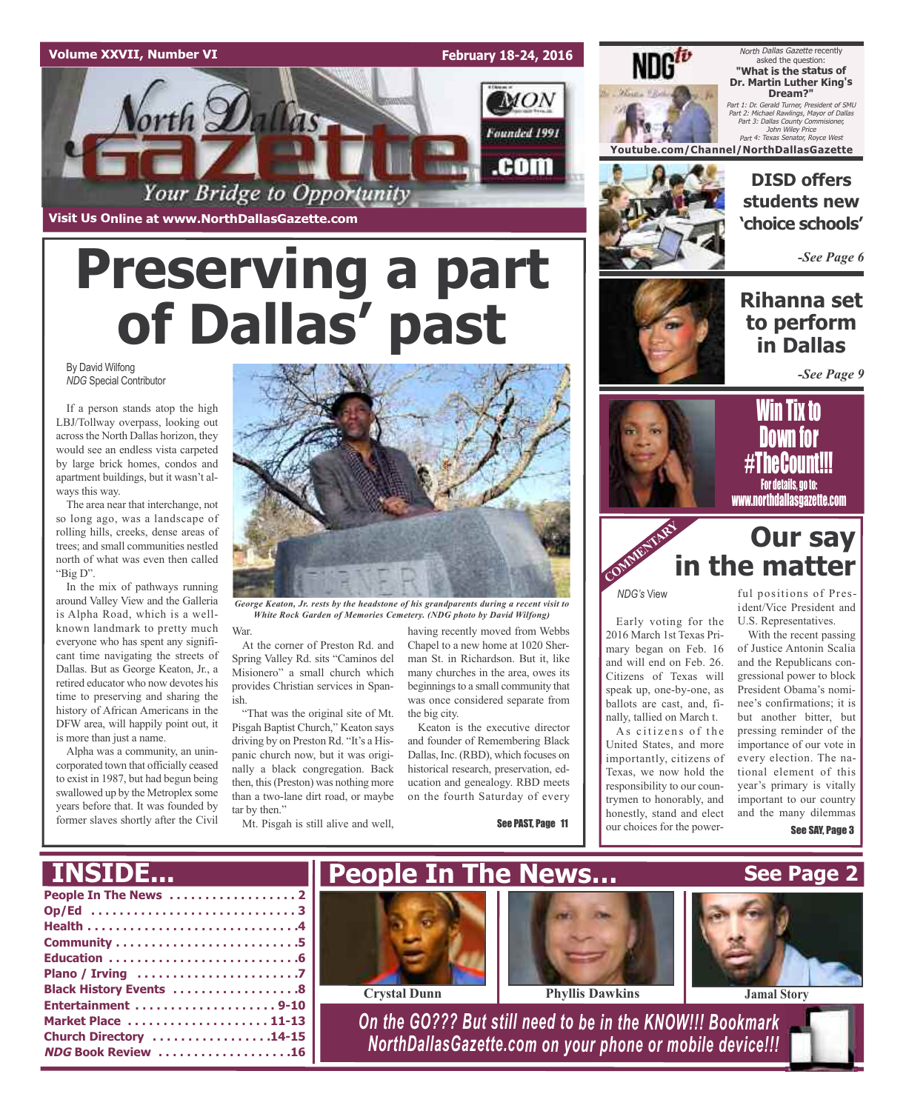#### **Volume XXVII, Number VI**

**February 18-24, 2016**



# **Preserving a part of Dallas' past**

#### By David Wilfong *NDG* Special Contributor

If a person stands atop the high LBJ/Tollway overpass, looking out across the North Dallas horizon, they would see an endless vista carpeted by large brick homes, condos and apartment buildings, but it wasn't always this way.

The area near that interchange, not so long ago, was a landscape of rolling hills, creeks, dense areas of trees; and small communities nestled north of what was even then called "Big D".

In the mix of pathways running around Valley View and the Galleria is Alpha Road, which is a wellknown landmark to pretty much everyone who has spent any significant time navigating the streets of Dallas. But as George Keaton, Jr., a retired educator who now devotes his time to preserving and sharing the history of African Americans in the DFW area, will happily point out, it is more than just a name.

Alpha was a community, an unincorporated town that officially ceased to exist in 1987, but had begun being swallowed up by the Metroplex some years before that. It was founded by former slaves shortly after the Civil



*George Keaton, Jr. rests by the headstone of his grandparents during a recent visit to White Rock Garden of Memories Cemetery. (NDG photo by David Wilfong)*

War. At the corner of Preston Rd. and Spring Valley Rd. sits "Caminos del Misionero" a small church which

provides Christian services in Spanish. "That was the original site of Mt. Pisgah Baptist Church," Keaton says driving by on Preston Rd. "It's a Hispanic church now, but it was originally a black congregation. Back then, this(Preston) was nothing more than a two-lane dirt road, or maybe tar by then."

Mt. Pisgah is still alive and well,

having recently moved from Webbs Chapel to a new home at 1020 Sherman St. in Richardson. But it, like many churches in the area, owes its beginnings to a small community that was once considered separate from the big city.

Keaton is the executive director and founder of Remembering Black Dallas, Inc. (RBD), which focuses on historical research, preservation, education and genealogy. RBD meets on the fourth Saturday of every

See PAST, Page 11



North Dallas Gazette recently asked the question: **"What is the status of Dr. Martin Luther King's Dream?"**

Part 1: Dr. Gerald Turner, President of SMU Part 2: Michael Rawlings, Mayor of Dallas Part 3: Dallas County Commisioner, John Wiley Price Part 4: Texas Senator, Royce West

**Youtube.com/Channel/NorthDallasGazette**

**DISD offers students new 'choice schools'**

*-See Page 6*

### **Rihanna set to perform in Dallas**

*-See Page 9*





# **Our say in the matter**

*NDG's* View

COMMENTARY **COMMENT** 

Early voting for the 2016 March 1st Texas Primary began on Feb. 16 and will end on Feb. 26. Citizens of Texas will speak up, one-by-one, as ballots are cast, and, finally, tallied on March t.

As citizens of the United States, and more importantly, citizens of Texas, we now hold the responsibility to our countrymen to honorably, and honestly, stand and elect our choices for the power-

ful positions of President/Vice President and U.S. Representatives.

With the recent passing of Justice Antonin Scalia and the Republicans congressional power to block President Obama's nominee's confirmations; it is but another bitter, but pressing reminder of the importance of our vote in every election. The national element of this year's primary is vitally important to our country and the many dilemmas See SAY, Page 3

**People In The News . . . . . . . . . . . . . . . . . . 2 Op/Ed . . . . . . . . . . . . . . . . . . . . . . . . . . . . . 3 Health . . . . . . . . . . . . . . . . . . . . . . . . . . . . . .4 Community . . . . . . . . . . . . . . . . . . . . . . . . . .5 Education . . . . . . . . . . . . . . . . . . . . . . . . . . .6 Plano / Irving . . . . . . . . . . . . . . . . . . . . . . .7 Black History Events . . . . . . . . . . . . . . . . . .8 Entertainment . . . . . . . . . . . . . . . . . . . . 9-10 Market Place . . . . . . . . . . . . . . . . . . . . 11-13 Church Directory . . . . . . . . . . . . . . . . .14-15 NDG Book Review . . . . . . . . . . . . . . . . . . .16** *On the GO??? But still need to be in the KNOW!!! Bookmark NorthDallasGazette.com on your phone or mobile device!!!* **INSIDE... See Page 2 People In The News… Crystal Dunn Phyllis Dawkins Jamal Story**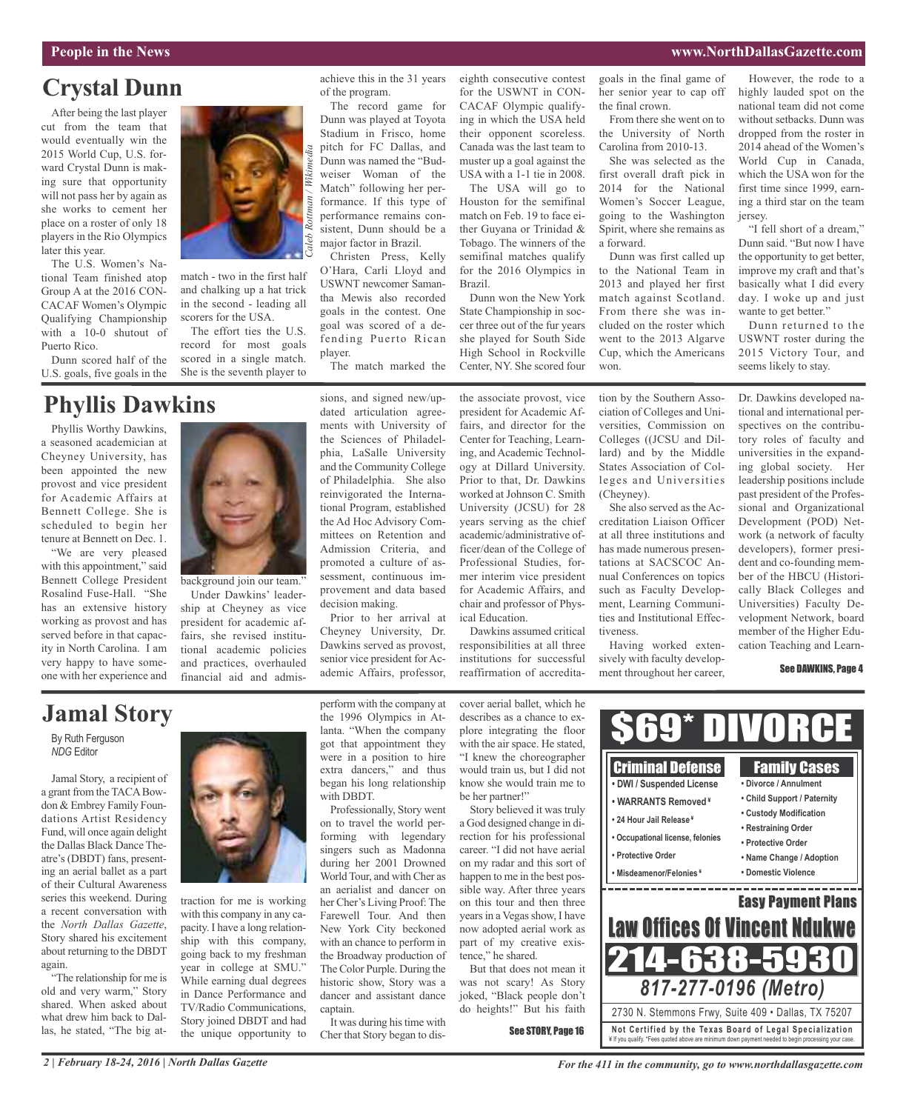#### **People in the News www.NorthDallasGazette.com**

# **Crystal Dunn**

After being the last player cut from the team that would eventually win the 2015 World Cup, U.S. forward Crystal Dunn is making sure that opportunity will not pass her by again as she works to cement her place on a roster of only 18 players in the Rio Olympics later this year.

The U.S. Women's National Team finished atop Group A at the 2016 CON-CACAF Women's Olympic Qualifying Championship with a 10-0 shutout of Puerto Rico.

Dunn scored half of the U.S. goals, five goals in the

# **Phyllis Dawkins**

Phyllis Worthy Dawkins, a seasoned academician at Cheyney University, has been appointed the new provost and vice president for Academic Affairs at Bennett College. She is scheduled to begin her tenure at Bennett on Dec. 1.

"We are very pleased with this appointment," said Bennett College President Rosalind Fuse-Hall. "She has an extensive history working as provost and has served before in that capacity in North Carolina. I am very happy to have someone with her experience and



match - two in the first half and chalking up a hat trick in the second - leading all scorers for the USA.

The effort ties the U.S. record for most goals scored in a single match. She is the seventh player to

achieve this in the 31 years of the program.

The record game for Dunn was played at Toyota Stadium in Frisco, home pitch for FC Dallas, and Dunn was named the "Budweiser Woman of the Match" following her performance. If this type of performance remains consistent, Dunn should be a major factor in Brazil. Christen Press, Kelly

O'Hara, Carli Lloyd and USWNT newcomer Samantha Mewis also recorded goals in the contest. One goal was scored of a defending Puerto Rican player.

The match marked the

sions, and signed new/updated articulation agreements with University of the Sciences of Philadelphia, LaSalle University and the Community College of Philadelphia. She also reinvigorated the Interna-

for the USWNT in CON-CACAF Olympic qualifying in which the USA held their opponent scoreless. Canada was the last team to muster up a goal against the USA with a 1-1 tie in 2008.

eighth consecutive contest

The USA will go to Houston for the semifinal match on Feb. 19 to face either Guyana or Trinidad & Tobago. The winners of the semifinal matches qualify for the 2016 Olympics in Brazil.

Dunn won the New York State Championship in soccer three out of the fur years she played for South Side High School in Rockville Center, NY. She scored four

the associate provost, vice president for Academic Affairs, and director for the Center for Teaching, Learning, and Academic Technology at Dillard University. Prior to that, Dr. Dawkins worked at Johnson C. Smith University (JCSU) for 28 years serving as the chief academic/administrative officer/dean of the College of Professional Studies, former interim vice president for Academic Affairs, and chair and professor of Phys-

Dawkins assumed critical reaffirmation of accreditathe University of North Carolina from 2010-13. She was selected as the first overall draft pick in 2014 for the National

From there she went on to

goals in the final game of her senior year to cap off

the final crown.

Women's Soccer League, going to the Washington Spirit, where she remains as a forward.

Dunn was first called up to the National Team in 2013 and played her first match against Scotland. From there she was included on the roster which went to the 2013 Algarve Cup, which the Americans won.

However, the rode to a highly lauded spot on the national team did not come without setbacks. Dunn was dropped from the roster in 2014 ahead of the Women's World Cup in Canada, which the USA won for the first time since 1999, earning a third star on the team jersey.

"I fell short of a dream," Dunn said. "But now I have the opportunity to get better, improve my craft and that's basically what I did every day. I woke up and just wante to get better."

Dunn returned to the USWNT roster during the 2015 Victory Tour, and seems likely to stay.

Dr. Dawkins developed national and international perspectives on the contributory roles of faculty and universities in the expanding global society. Her leadership positions include past president of the Professional and Organizational Development (POD) Network (a network of faculty developers), former president and co-founding member of the HBCU (Historically Black Colleges and Universities) Faculty Development Network, board member of the Higher Education Teaching and Learn-

#### See DAWKINS, Page 4

# **Jamal Story**

By Ruth Ferguson *NDG* Editor

Jamal Story, a recipient of a grant from the TACABowdon & Embrey Family Foundations Artist Residency Fund, will once again delight the Dallas Black Dance Theatre's (DBDT) fans, presenting an aerial ballet as a part of their Cultural Awareness series this weekend. During a recent conversation with the *North Dallas Gazette*, Story shared his excitement about returning to the DBDT again.

"The relationship for me is old and very warm," Story shared. When asked about what drew him back to Dallas, he stated, "The big at-



background join our team." Under Dawkins' leadership at Cheyney as vice president for academic affairs, she revised institutional academic policies and practices, overhauled financial aid and admis-

traction for me is working with this company in any capacity. I have a long relationship with this company, going back to my freshman year in college at SMU." While earning dual degrees in Dance Performance and TV/Radio Communications, Story joined DBDT and had the unique opportunity to perform with the company at the 1996 Olympics in Atlanta. "When the company got that appointment they were in a position to hire extra dancers," and thus began his long relationship with DBDT.

ademic Affairs, professor,

decision making.

Professionally, Story went on to travel the world performing with legendary singers such as Madonna during her 2001 Drowned World Tour, and with Cher as an aerialist and dancer on her Cher's Living Proof: The Farewell Tour. And then New York City beckoned with an chance to perform in the Broadway production of The Color Purple. During the historic show, Story was a dancer and assistant dance captain

It was during his time with Cher that Story began to discover aerial ballet, which he describes as a chance to explore integrating the floor with the air space. He stated, "I knew the choreographer would train us, but I did not know she would train me to be her partner!"

Story believed it was truly a God designed change in direction for his professional career. "I did not have aerial on my radar and this sort of happen to me in the best possible way. After three years on this tour and then three years in a Vegas show, I have now adopted aerial work as part of my creative existence," he shared.

But that does not mean it was not scary! As Story joked, "Black people don't do heights!" But his faith

See STORY, Page 16



*2 | February 18-24, 2016 | North Dallas Gazette*

*For the 411 in the community, go to www.northdallasgazette.com*

tional Program, established the Ad Hoc Advisory Committees on Retention and Admission Criteria, and promoted a culture of assessment, continuous improvement and data based Prior to her arrival at Cheyney University, Dr. Dawkins served as provost, senior vice president for Acical Education.

responsibilities at all three institutions for successful

tion by the Southern Association of Colleges and Universities, Commission on Colleges ((JCSU and Dillard) and by the Middle States Association of Colleges and Universities (Cheyney).

> She also served as the Accreditation Liaison Officer at all three institutions and has made numerous presentations at SACSCOC Annual Conferences on topics such as Faculty Development, Learning Communities and Institutional Effectiveness.

> Having worked extensively with faculty development throughout her career,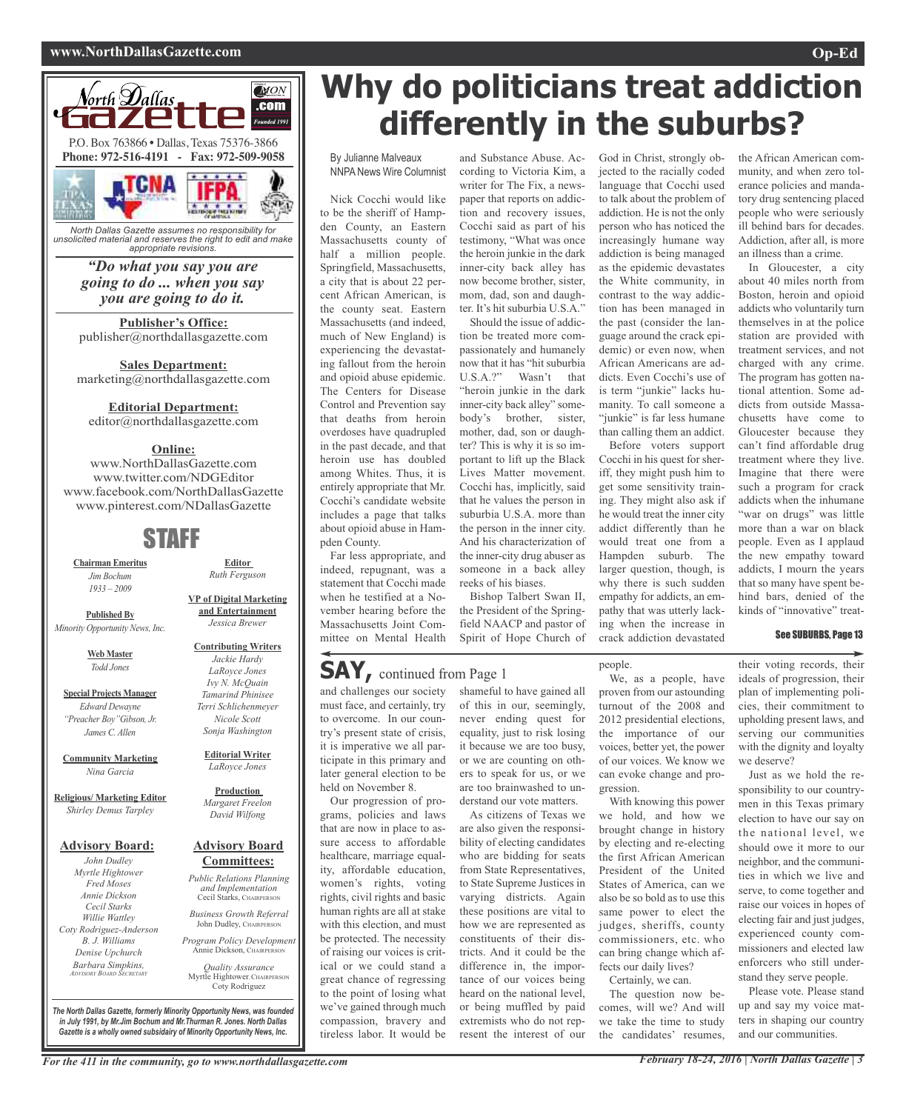#### **www.NorthDallasGazette.com Op-Ed**



*unsolicited material and reserves the right to edit and make appropriate revisions.*

> *"Do what you say you are going to do ... when you say you are going to do it.*

**Publisher's Office:** publisher@northdallasgazette.com

**Sales Department:** marketing@northdallasgazette.com

#### **Editorial Department:**

editor@northdallasgazette.com

#### **Online:**

www.NorthDallasGazette.com www.twitter.com/NDGEditor www.facebook.com/NorthDallasGazette www.pinterest.com/NDallasGazette

## STAFF

**Chairman Emeritus** *Jim Bochum 1933 – 2009*

**Published By** *Minority Opportunity News, Inc.*

> **Web Master** *Todd Jones*

**Special Projects Manager** *Edward Dewayne "Preacher Boy"Gibson, Jr. James C. Allen*

**Community Marketing** *Nina Garcia*

**Religious/ Marketing Editor** *Shirley Demus Tarpley*

#### **Advisory Board:**

*John Dudley Myrtle Hightower Fred Moses Annie Dickson Cecil Starks Willie Wattley Coty Rodriguez-Anderson B. J. Williams Denise Upchurch Barbara Simpkins, ADVISORY BOARD SECRETARY*

**and Entertainment** *Jessica Brewer*

**Editor** *Ruth Ferguson*

**VP of Digital Marketing**

**Editorial Writer** *LaRoyce Jones*

#### **Production** *Margaret Freelon David Wilfong*

# **Committees:**

Cecil Starks, CHAIRPERSON

*Business Growth Referral* John Dudley, CHAIRPERSON

*Program Policy Development* Annie Dickson, CHAIRPER

*Quality Assurance* Myrtle Hightower, CHAIRPERSON Coty Rodriguez

**Why do politicians treat addiction differently in the suburbs?**

By Julianne Malveaux NNPANews Wire Columnist

Nick Cocchi would like to be the sheriff of Hampden County, an Eastern Massachusetts county of half a million people. Springfield, Massachusetts, a city that is about 22 percent African American, is the county seat. Eastern Massachusetts (and indeed, much of New England) is experiencing the devastating fallout from the heroin and opioid abuse epidemic. The Centers for Disease Control and Prevention say that deaths from heroin overdoses have quadrupled in the past decade, and that heroin use has doubled among Whites. Thus, it is entirely appropriate that Mr. Cocchi's candidate website includes a page that talks about opioid abuse in Hampden County.

Far less appropriate, and indeed, repugnant, was a statement that Cocchi made when he testified at a November hearing before the Massachusetts Joint Committee on Mental Health

### **SAY,** continued from Page <sup>1</sup>

and challenges our society must face, and certainly, try to overcome. In our country's present state of crisis, it is imperative we all participate in this primary and later general election to be held on November 8.

Our progression of programs, policies and laws that are now in place to assure access to affordable healthcare, marriage equality, affordable education, women's rights, voting rights, civil rights and basic human rights are all at stake with this election, and must be protected. The necessity of raising our voices is critical or we could stand a great chance of regressing to the point of losing what we've gained through much compassion, bravery and tireless labor. It would be

and Substance Abuse. According to Victoria Kim, a writer for The Fix, a newspaper that reports on addiction and recovery issues, Cocchi said as part of his testimony, "What was once the heroin junkie in the dark inner-city back alley has now become brother, sister, mom, dad, son and daughter. It's hit suburbia U.S.A."

Should the issue of addiction be treated more compassionately and humanely now that it has "hit suburbia U.S.A.?" Wasn't that "heroin junkie in the dark inner-city back alley" somebody's brother, sister, mother, dad, son or daughter? This is why it is so important to lift up the Black Lives Matter movement. Cocchi has, implicitly, said that he values the person in suburbia U.S.A. more than the person in the inner city. And his characterization of the inner-city drug abuser as someone in a back alley reeks of his biases.

Bishop Talbert Swan II, the President of the Springfield NAACP and pastor of Spirit of Hope Church of

shameful to have gained all of this in our, seemingly, never ending quest for equality, just to risk losing it because we are too busy, or we are counting on others to speak for us, or we are too brainwashed to understand our vote matters. As citizens of Texas we are also given the responsibility of electing candidates who are bidding for seats from State Representatives, to State Supreme Justices in varying districts. Again these positions are vital to how we are represented as constituents of their districts. And it could be the difference in, the importance of our voices being heard on the national level, or being muffled by paid extremists who do not represent the interest of our

God in Christ, strongly objected to the racially coded language that Cocchi used to talk about the problem of addiction. He is not the only person who has noticed the increasingly humane way addiction is being managed as the epidemic devastates the White community, in contrast to the way addiction has been managed in the past (consider the language around the crack epidemic) or even now, when African Americans are addicts. Even Cocchi's use of is term "junkie" lacks humanity. To call someone a "junkie" is far less humane than calling them an addict. Before voters support

Cocchi in his quest for sheriff, they might push him to get some sensitivity training. They might also ask if he would treat the inner city addict differently than he would treat one from a Hampden suburb. The larger question, though, is why there is such sudden empathy for addicts, an empathy that was utterly lacking when the increase in crack addiction devastated

people.

We, as a people, have proven from our astounding turnout of the 2008 and 2012 presidential elections. the importance of our voices, better yet, the power of our voices. We know we can evoke change and progression.

With knowing this power we hold, and how we brought change in history by electing and re-electing the first African American President of the United States of America, can we also be so bold as to use this same power to elect the judges, sheriffs, county commissioners, etc. who can bring change which affects our daily lives? Certainly, we can.

The question now becomes, will we? And will we take the time to study the candidates' resumes,

the African American community, and when zero tolerance policies and mandatory drug sentencing placed people who were seriously ill behind bars for decades. Addiction, after all, is more an illness than a crime.

In Gloucester, a city about 40 miles north from Boston, heroin and opioid addicts who voluntarily turn themselves in at the police station are provided with treatment services, and not charged with any crime. The program has gotten national attention. Some addicts from outside Massachusetts have come to Gloucester because they can't find affordable drug treatment where they live. Imagine that there were such a program for crack addicts when the inhumane "war on drugs" was little more than a war on black people. Even as I applaud the new empathy toward addicts, I mourn the years that so many have spent behind bars, denied of the kinds of "innovative" treat-

#### See SUBURBS, Page 13

their voting records, their ideals of progression, their plan of implementing policies, their commitment to upholding present laws, and serving our communities with the dignity and loyalty we deserve?

Just as we hold the responsibility to our countrymen in this Texas primary election to have our say on the national level, we should owe it more to our neighbor, and the communities in which we live and serve, to come together and raise our voices in hopes of electing fair and just judges, experienced county commissioners and elected law enforcers who still understand they serve people.

Please vote. Please stand up and say my voice matters in shaping our country and our communities.

For the 411 in the community, go to www.northdallasgazette.com February 18-24, 2016 | North Dallas Gazette | 3

*The North Dallas Gazette, formerly Minority Opportunity News, was founded in July 1991, by Mr.Jim Bochum and Mr.Thurman R. Jones. North Dallas Gazette is a wholly owned subsidairy of Minority Opportunity News, Inc.*



# **Advisory Board**

*Public Relations Planning and Implementation*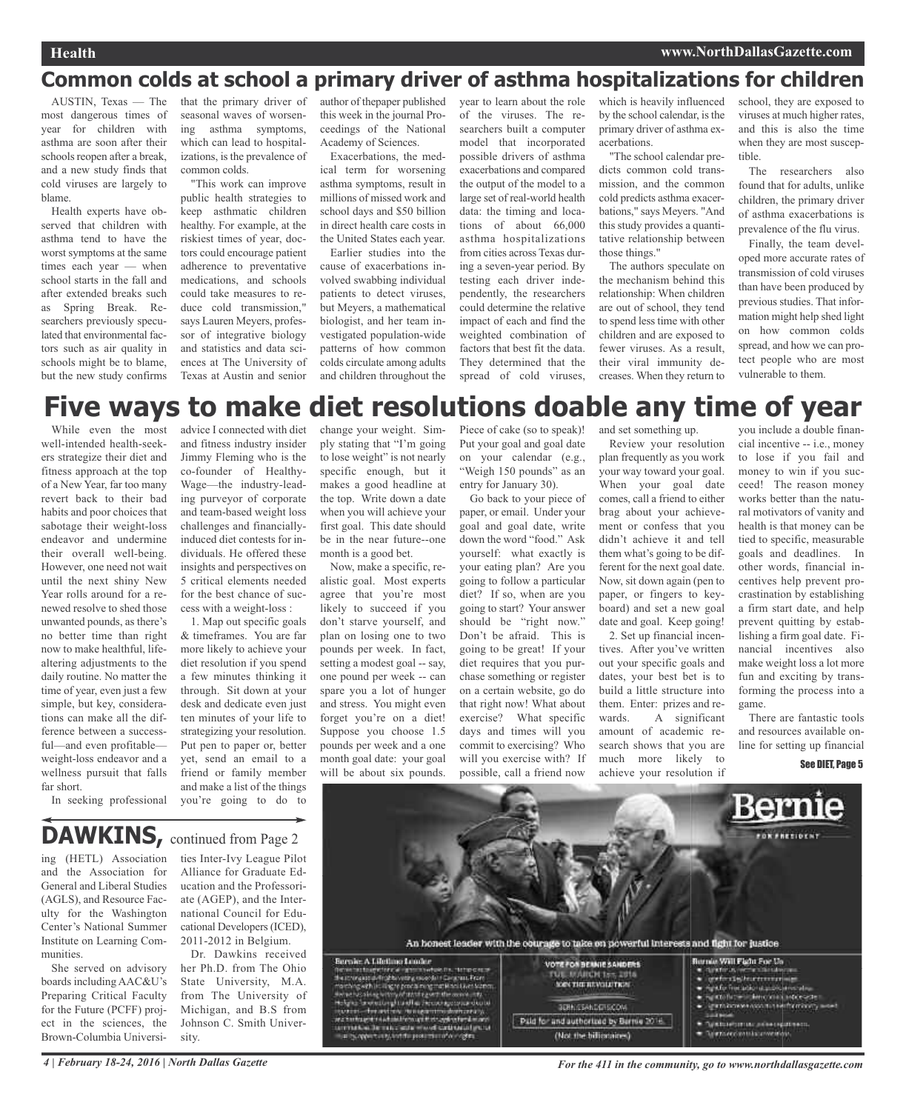## **Common colds at school a primary driver of asthma hospitalizations for children**

AUSTIN, Texas — The most dangerous times of year for children with asthma are soon after their schools reopen after a break. and a new study finds that cold viruses are largely to blame.

Health experts have observed that children with asthma tend to have the worst symptoms at the same times each year — when school starts in the fall and after extended breaks such as Spring Break. Researchers previously speculated that environmental factors such as air quality in schools might be to blame, but the new study confirms that the primary driver of seasonal waves of worsening asthma symptoms, which can lead to hospitalizations, is the prevalence of common colds.

"This work can improve public health strategies to keep asthmatic children healthy. For example, at the riskiest times of year, doctors could encourage patient adherence to preventative medications, and schools could take measures to reduce cold transmission," says Lauren Meyers, professor of integrative biology and statistics and data sciences at The University of Texas at Austin and senior

author of thepaper published this week in the journal Proceedings of the National Academy of Sciences.

Exacerbations, the medical term for worsening asthma symptoms, result in millions of missed work and school days and \$50 billion in direct health care costs in the United States each year.

Earlier studies into the cause of exacerbations involved swabbing individual patients to detect viruses, but Meyers, a mathematical biologist, and her team investigated population-wide patterns of how common colds circulate among adults and children throughout the year to learn about the role of the viruses. The researchers built a computer model that incorporated possible drivers of asthma exacerbations and compared the output of the model to a large set of real-world health data: the timing and locations of about 66,000 asthma hospitalizations from cities across Texas during a seven-year period. By testing each driver independently, the researchers could determine the relative impact of each and find the weighted combination of factors that best fit the data. They determined that the spread of cold viruses, which is heavily influenced by the school calendar, is the primary driver of asthma exacerbations.

"The school calendar predicts common cold transmission, and the common cold predicts asthma exacerbations," says Meyers. "And this study provides a quantitative relationship between those things."

The authors speculate on the mechanism behind this relationship: When children are out of school, they tend to spend less time with other children and are exposed to fewer viruses. As a result, their viral immunity decreases. When they return to school, they are exposed to viruses at much higher rates, and this is also the time when they are most susceptible.

The researchers also found that for adults, unlike children, the primary driver of asthma exacerbations is prevalence of the flu virus.

Finally, the team developed more accurate rates of transmission of cold viruses than have been produced by previous studies. That information might help shed light on how common colds spread, and how we can protect people who are most vulnerable to them.

# **Five ways to make diet resolutions doable any time of year**

While even the most well-intended health-seekers strategize their diet and fitness approach at the top of a New Year, far too many revert back to their bad habits and poor choices that sabotage their weight-loss endeavor and undermine their overall well-being. However, one need not wait until the next shiny New Year rolls around for a renewed resolve to shed those unwanted pounds, as there's no better time than right now to make healthful, lifealtering adjustments to the daily routine. No matter the time of year, even just a few simple, but key, considerations can make all the difference between a successful—and even profitable weight-loss endeavor and a wellness pursuit that falls far short.

advice I connected with diet and fitness industry insider Jimmy Fleming who is the co-founder of Healthy-Wage—the industry-leading purveyor of corporate and team-based weight loss challenges and financiallyinduced diet contests for individuals. He offered these insights and perspectives on 5 critical elements needed for the best chance of success with a weight-loss :

1. Map out specific goals & timeframes. You are far more likely to achieve your diet resolution if you spend a few minutes thinking it through. Sit down at your desk and dedicate even just ten minutes of your life to strategizing your resolution. Put pen to paper or, better yet, send an email to a friend or family member and make a list of the things you're going to do to

change your weight. Simply stating that "I'm going to lose weight" is not nearly specific enough, but it makes a good headline at the top. Write down a date when you will achieve your first goal. This date should be in the near future--one month is a good bet.

Now, make a specific, realistic goal. Most experts agree that you're most likely to succeed if you don't starve yourself, and plan on losing one to two pounds per week. In fact, setting a modest goal -- say, one pound per week -- can spare you a lot of hunger and stress. You might even forget you're on a diet! Suppose you choose 1.5 pounds per week and a one month goal date: your goal will be about six pounds.

Piece of cake (so to speak)! Put your goal and goal date on your calendar (e.g., "Weigh 150 pounds" as an entry for January 30).

Go back to your piece of paper, or email. Under your goal and goal date, write down the word "food." Ask yourself: what exactly is your eating plan? Are you going to follow a particular diet? If so, when are you going to start? Your answer should be "right now." Don't be afraid. This is going to be great! If your diet requires that you purchase something or register on a certain website, go do that right now! What about exercise? What specific days and times will you commit to exercising? Who will you exercise with? If possible, call a friend now

and set something up.

Review your resolution plan frequently as you work your way toward your goal. When your goal date comes, call a friend to either brag about your achievement or confess that you didn't achieve it and tell them what's going to be different for the next goal date. Now, sit down again (pen to paper, or fingers to keyboard) and set a new goal date and goal. Keep going! 2. Set up financial incentives. After you've written out your specific goals and dates, your best bet is to

build a little structure into them. Enter: prizes and rewards. A significant amount of academic research shows that you are much more likely to achieve your resolution if

you include a double financial incentive -- i.e., money to lose if you fail and money to win if you succeed! The reason money works better than the natural motivators of vanity and health is that money can be tied to specific, measurable goals and deadlines. In other words, financial incentives help prevent procrastination by establishing a firm start date, and help prevent quitting by establishing a firm goal date. Financial incentives also make weight loss a lot more fun and exciting by transforming the process into a game.

There are fantastic tools and resources available online for setting up financial

#### See DIET. Page 5

### DAWKINS, continued from Page 2

ing (HETL) Association and the Association for General and Liberal Studies (AGLS), and Resource Faculty for the Washington Center's National Summer Institute on Learning Communities.

In seeking professional

She served on advisory boards including AAC&U's Preparing Critical Faculty for the Future (PCFF) project in the sciences, the Brown-Columbia Universi-

ties Inter-Ivy League Pilot Alliance for Graduate Education and the Professoriate (AGEP), and the International Council for Educational Developers(ICED), 2011-2012 in Belgium.

Dr. Dawkins received her Ph.D. from The Ohio State University, M.A. from The University of Michigan, and B.S from Johnson C. Smith University.



(Not the billionaires)

4 | February 18-24, 2016 | North Dallas Gazette **State 18 and 18 and 18 and 18 and 18 and 18 and 18 and 18 and 18**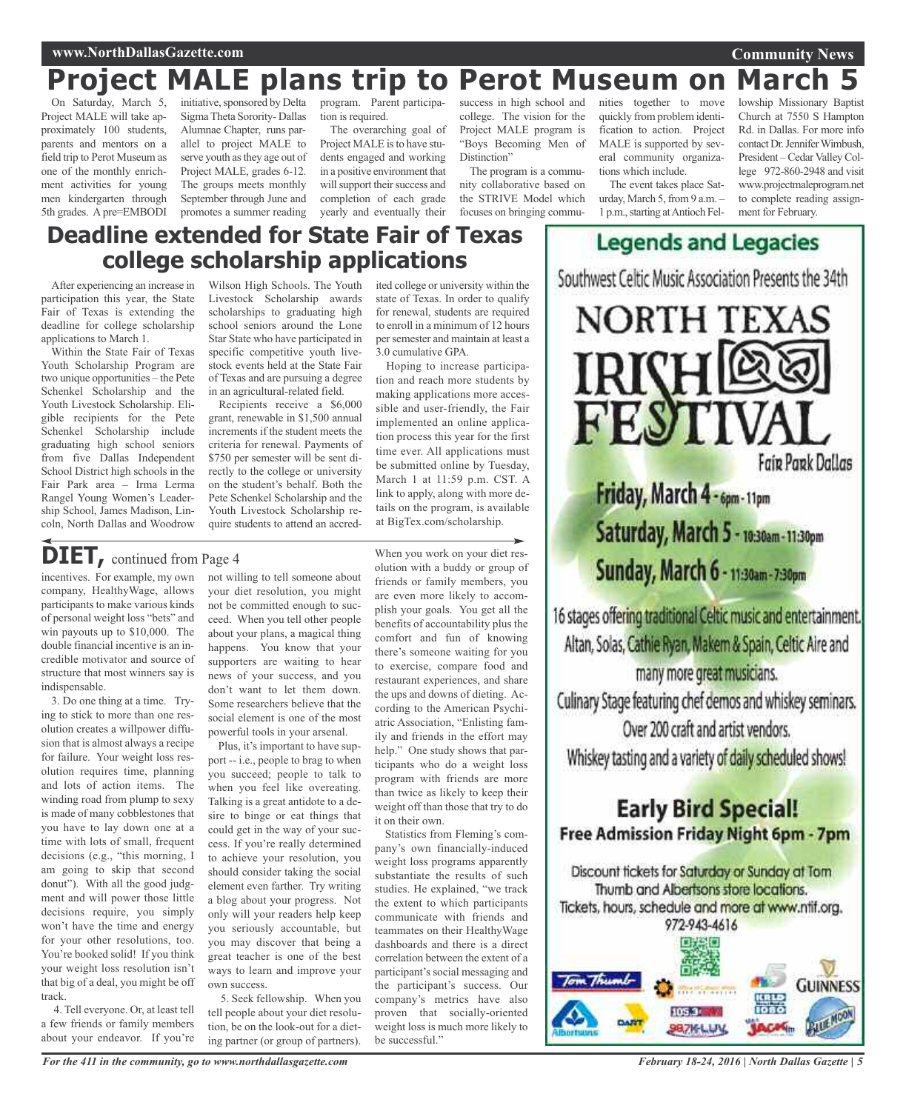#### **Community News**

# **Project MALE plans trip to Perot Museum on March 5**

On Saturday, March 5, Project MALE will take approximately 100 students, parents and mentors on a field trip to Perot Museum as one of the monthly enrichment activities for young men kindergarten through 5th grades. Apre=EMBODI

initiative, sponsored by Delta SigmaTheta Sorority- Dallas Alumnae Chapter, runs parallel to project MALE to serve youth asthey age out of Project MALE, grades 6-12. The groups meets monthly September through June and promotes a summer reading

program. Parent participation is required.

The overarching goal of Project MALE is to have students engaged and working in a positive environment that will support their success and completion of each grade yearly and eventually their

success in high school and college. The vision for the Project MALE program is "Boys Becoming Men of Distinction"

The program is a community collaborative based on the STRIVE Model which focuses on bringing commu-

nities together to move quickly from problem identification to action. Project MALE is supported by several community organizations which include.

The event takes place Saturday, March 5, from 9 a.m. -1 p.m., starting at Antioch Fellowship Missionary Baptist Church at 7550 S Hampton Rd. in Dallas. For more info contact Dr. Jennifer Wimbush, President – Cedar Valley College 972-860-2948 and visit www.projectmaleprogram.net to complete reading assignment for February.

# **Deadline extended for State Fair of Texas college scholarship applications**

After experiencing an increase in participation this year, the State Fair of Texas is extending the deadline for college scholarship applications to March 1.

Within the State Fair of Texas Youth Scholarship Program are two unique opportunities – the Pete Schenkel Scholarship and the Youth Livestock Scholarship. Eligible recipients for the Pete Schenkel Scholarship include graduating high school seniors from five Dallas Independent School District high schools in the Fair Park area – Irma Lerma Rangel Young Women's Leadership School, James Madison, Lincoln, North Dallas and Woodrow Wilson High Schools. The Youth Livestock Scholarship awards scholarships to graduating high school seniors around the Lone Star State who have participated in specific competitive youth livestock events held at the State Fair of Texas and are pursuing a degree in an agricultural-related field.

Recipients receive a \$6,000 grant, renewable in \$1,500 annual increments if the student meets the criteria for renewal. Payments of \$750 per semester will be sent directly to the college or university on the student's behalf. Both the Pete Schenkel Scholarship and the Youth Livestock Scholarship require students to attend an accredited college or university within the state of Texas. In order to qualify for renewal, students are required to enroll in a minimum of 12 hours persemester and maintain at least a 3.0 cumulative GPA.

Hoping to increase participation and reach more students by making applications more accessible and user-friendly, the Fair implemented an online application process this year for the first time ever. All applications must be submitted online by Tuesday, March 1 at 11:59 p.m. CST. A link to apply, along with more details on the program, is available at BigTex.com/scholarship.

## **DIET,** continued from Page <sup>4</sup>

incentives. For example, my own company, HealthyWage, allows participants to make various kinds of personal weight loss "bets" and win payouts up to \$10,000. The double financial incentive is an incredible motivator and source of structure that most winners say is indispensable.

3. Do one thing at a time. Trying to stick to more than one resolution creates a willpower diffusion that is almost always a recipe for failure. Your weight loss resolution requires time, planning and lots of action items. The winding road from plump to sexy is made of many cobblestones that you have to lay down one at a time with lots of small, frequent decisions (e.g., "this morning, I am going to skip that second donut"). With all the good judgment and will power those little decisions require, you simply won't have the time and energy for your other resolutions, too. You're booked solid! If you think your weight loss resolution isn't that big of a deal, you might be off track.

4. Tell everyone. Or, at least tell a few friends or family members about your endeavor. If you're not willing to tell someone about your diet resolution, you might not be committed enough to succeed. When you tell other people about your plans, a magical thing happens. You know that your supporters are waiting to hear news of your success, and you don't want to let them down. Some researchers believe that the social element is one of the most powerful tools in your arsenal.

Plus, it's important to have support -- i.e., people to brag to when you succeed; people to talk to when you feel like overeating. Talking is a great antidote to a desire to binge or eat things that could get in the way of your success. If you're really determined to achieve your resolution, you should consider taking the social element even farther. Try writing a blog about your progress. Not only will your readers help keep you seriously accountable, but you may discover that being a great teacher is one of the best ways to learn and improve your own success.

5. Seek fellowship. When you tell people about your diet resolution, be on the look-out for a dieting partner (or group of partners).

When you work on your diet resolution with a buddy or group of friends or family members, you are even more likely to accomplish your goals. You get all the benefits of accountability plus the comfort and fun of knowing there's someone waiting for you to exercise, compare food and restaurant experiences, and share the ups and downs of dieting. According to the American Psychiatric Association, "Enlisting family and friends in the effort may help." One study shows that participants who do a weight loss program with friends are more than twice as likely to keep their weight off than those that try to do it on their own.

Statistics from Fleming's company's own financially-induced weight loss programs apparently substantiate the results of such studies. He explained, "we track the extent to which participants communicate with friends and teammates on their HealthyWage dashboards and there is a direct correlation between the extent of a participant's social messaging and the participant's success. Our company's metrics have also proven that socially-oriented weight loss is much more likely to be successful."



**Legends and Legacies** 

**Fair Park Dallas** 

Friday, March 4 - 6pm - 11pm Saturday, March 5 - 10:30am-11:30pm Sunday, March 6 - 11:30am-7:30pm

16 stages offering traditional Celtic music and entertainment. Altan, Solas, Cathie Ryan, Makem & Spain, Celtic Aire and many more great musicians. Culinary Stage featuring chef demos and whiskey seminars. Over 200 craft and artist vendors. Whiskey tasting and a variety of daily scheduled shows!

### **Early Bird Special!** Free Admission Friday Night 6pm - 7pm

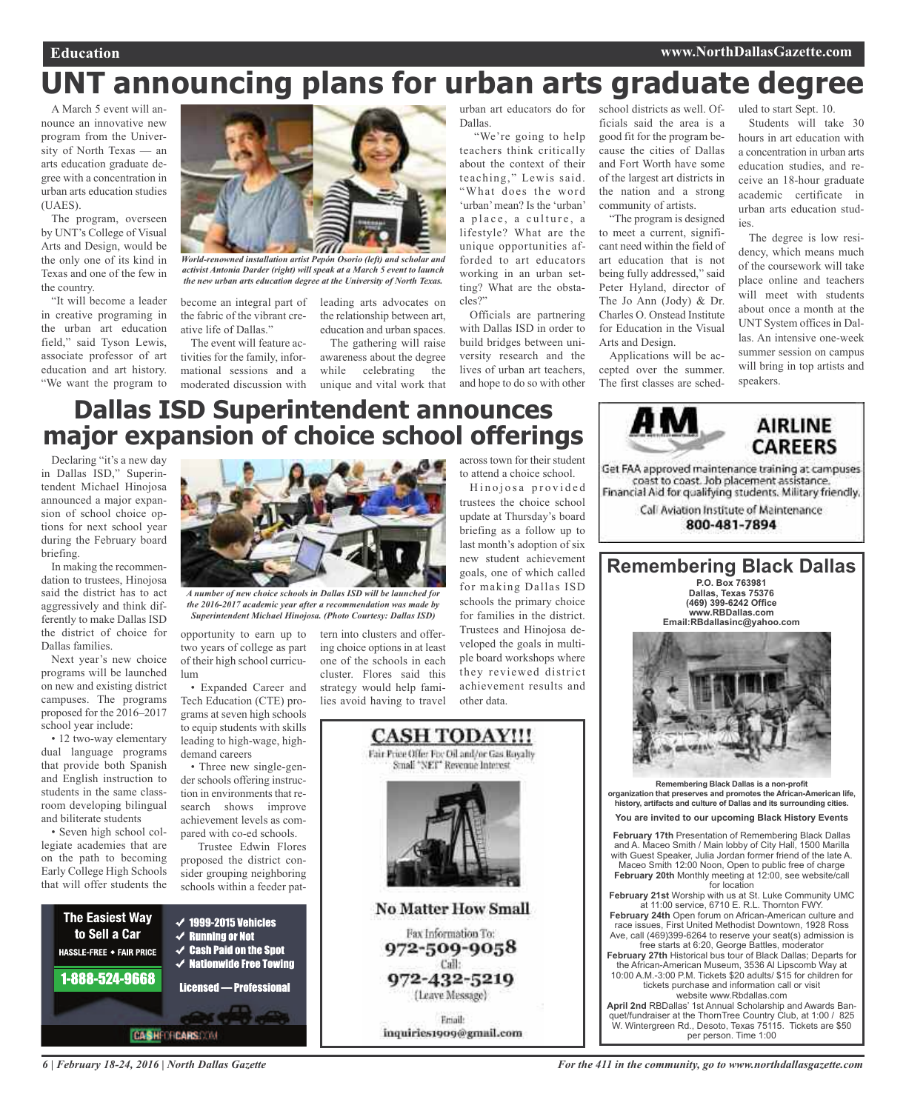# **UNT announcing plans for urban arts graduate degree**

A March 5 event will announce an innovative new program from the University of North Texas — an arts education graduate degree with a concentration in urban arts education studies (UAES).

The program, overseen by UNT's College of Visual Arts and Design, would be the only one of its kind in Texas and one of the few in the country.

"It will become a leader in creative programing in the urban art education field," said Tyson Lewis, associate professor of art education and art history. "We want the program to



*World-renowned installation artist Pepón Osorio (left) and scholar and activist Antonia Darder (right) will speak at a March 5 event to launch the new urban arts education degree at the University of North Texas.*

the relationship between art, education and urban spaces. The gathering will raise awareness about the degree while celebrating the unique and vital work that

become an integral part of the fabric of the vibrant creative life of Dallas." leading arts advocates on

The event will feature activities for the family, informational sessions and a moderated discussion with urban art educators do for Dallas.

"We're going to help teachers think critically about the context of their teaching," Lewis said. "What does the word 'urban' mean? Is the 'urban' a place, a culture, a lifestyle? What are the unique opportunities afforded to art educators working in an urban setting? What are the obstacles?"

Officials are partnering with Dallas ISD in order to build bridges between university research and the lives of urban art teachers, and hope to do so with other

school districts as well. Officials said the area is a good fit for the program because the cities of Dallas and Fort Worth have some of the largest art districts in the nation and a strong community of artists.

"The program is designed to meet a current, significant need within the field of art education that is not being fully addressed," said Peter Hyland, director of The Jo Ann (Jody) & Dr. Charles O. Onstead Institute for Education in the Visual Arts and Design.

Applications will be accepted over the summer. The first classes are sched-

Students will take 30 hours in art education with a concentration in urban arts education studies, and receive an 18-hour graduate academic certificate in urban arts education studies.

uled to start Sept. 10.

The degree is low residency, which means much of the coursework will take place online and teachers will meet with students about once a month at the UNT System offices in Dallas. An intensive one-week summer session on campus will bring in top artists and speakers.

> **AIRLINE CAREERS**

# **Dallas ISD Superintendent announces major expansion of choice school offerings**

Declaring "it's a new day in Dallas ISD," Superintendent Michael Hinojosa announced a major expansion of school choice options for next school year during the February board briefing.

In making the recommendation to trustees, Hinojosa said the district has to act aggressively and think differently to make Dallas ISD the district of choice for Dallas families.

Next year's new choice programs will be launched on new and existing district campuses. The programs proposed for the 2016–2017 school year include:

• 12 two-way elementary dual language programs that provide both Spanish and English instruction to students in the same classroom developing bilingual and biliterate students

• Seven high school collegiate academies that are on the path to becoming Early College High Schools that will offer students the



*A number of new choice schools in Dallas ISD will be launched for the 2016-2017 academic year after a recommendation was made by*

opportunity to earn up to two years of college as part of their high school curriculum

• Expanded Career and Tech Education (CTE) programs at seven high schools to equip students with skills leading to high-wage, highdemand careers

• Three new single-gender schools offering instruction in environments that research shows improve achievement levels as compared with co-ed schools.

Trustee Edwin Flores proposed the district consider grouping neighboring schools within a feeder pat-



*6 | February 18-24, 2016 | North Dallas Gazette*



*Superintendent Michael Hinojosa. (Photo Courtesy: Dallas ISD)*

tern into clusters and offering choice options in at least one of the schools in each cluster. Flores said this strategy would help families avoid having to travel



across town for their student to attend a choice school.

Hinojosa provided trustees the choice school update at Thursday's board briefing as a follow up to last month's adoption of six new student achievement goals, one of which called for making Dallas ISD schools the primary choice for families in the district. Trustees and Hinojosa developed the goals in multiple board workshops where they reviewed district achievement results and other data.



**Remembering Black Dallas P.O. Box 763981**

Get FAA approved maintenance training at campuses coast to coast. Job placement assistance. Financial Aid for qualifying students. Military friendly, Call Aviation Institute of Maintenance 800-481-7894

**Remembering Black Dallas is a non-profit organization that preserves and promotes the African-American life, history, artifacts and culture of Dallas and its surrounding cities. You are invited to our upcoming Black History Events**

**February 17th** Presentation of Remembering Black Dallas and A. Maceo Smith / Main lobby of City Hall, 1500 Marilla with Guest Speaker, Julia Jordan former friend of the late A. Maceo Smith 12:00 Noon, Open to public free of charge **February 20th** Monthly meeting at 12:00, see website/call

for location **February 21st** Worship with us at St. Luke Community UMC at 11:00 service, 6710 E. R.L. Thornton FWY.

**February 24th** Open forum on African-American culture and race issues, First United Methodist Downtown, 1928 Ross Ave, call (469)399-6264 to reserve your seat(s) admission is

free starts at 6:20, George Battles, moderator **February 27th** Historical bus tour of Black Dallas; Departs for the African-American Museum, 3536 Al Lipscomb Way at 10:00 A.M.-3:00 P.M. Tickets \$20 adults/ \$15 for children for

tickets purchase and information call or visit

website www.Rbdallas.com **April 2nd** RBDallas' 1st Annual Scholarship and Awards Banquet/fundraiser at the ThornTree Country Club, at 1:00 / 825 W. Wintergreen Rd., Desoto, Texas 75115. Tickets are \$50 per person. Time 1:00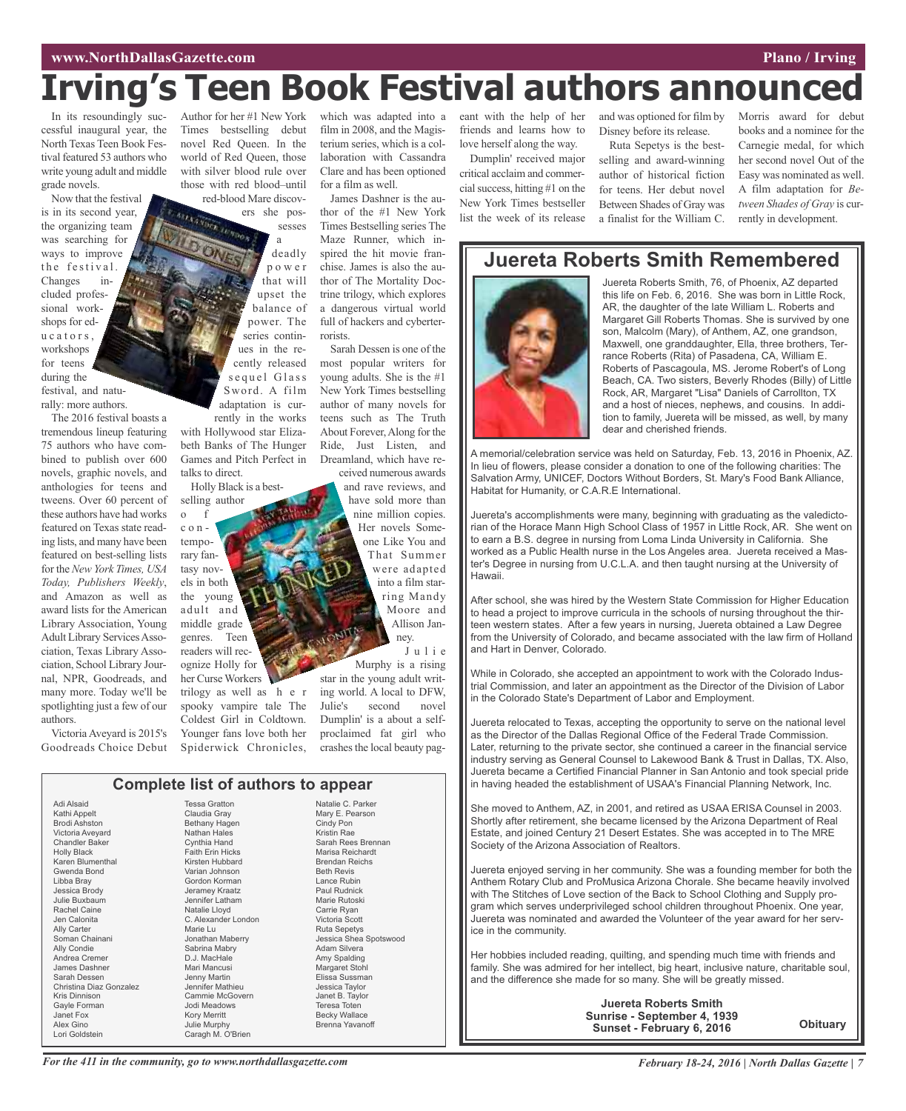#### **www.NorthDallasGazette.com Plano** / **Irving**

# **I**railyies **External Exercises EXEC <b>EXECUTE:** The DISTE **EXECUTE:** The DISTE **EXECUTE:** The DISTE **EXECUTE:** The DISTE **EXECUTE:** The DISTE **EXECUTE:** The DISTE **EXECUTE:** The DISTE **EXECUTE:** The DISTE **EXECUTE:** Th

In its resoundingly successful inaugural year, the North Texas Teen Book Festival featured 53 authors who write young adult and middle grade novels.

Now that the festival is in its second year, the organizing team was searching for ways to improve the festival. Changes included professional workshops for edu c a t o r s , workshops for teens during the

festival, and naturally: more authors.

The 2016 festival boasts a tremendous lineup featuring 75 authors who have combined to publish over 600 novels, graphic novels, and anthologies for teens and tweens. Over 60 percent of these authors have had works featured on Texas state reading lists, and many have been featured on best-selling lists for the *New York Times, USA Today, Publishers Weekly*, and Amazon as well as award lists for the American Library Association, Young Adult Library Services Association, Texas Library Association, School Library Journal, NPR, Goodreads, and many more. Today we'll be spotlighting just a few of our authors.

Victoria Aveyard is 2015's Goodreads Choice Debut Author for her #1 New York Times bestselling debut novel Red Queen. In the world of Red Queen, those with silver blood rule over those with red blood–until red-blood Mare discov-

ers she pos-

sesses a deadly p o w e r that will upset the balance of power. The series continues in the recently released sequel Glass Sword. A film adaptation is cur-

rently in the works with Hollywood star Elizabeth Banks of The Hunger Games and Pitch Perfect in talks to direct.

Holly Black is a best-

selling author o f c o n temporary fantasy novels in both the young adult and middle grade genres. Teen readers will recognize Holly for her Curse Workers trilogy as well as h e r spooky vampire tale The Coldest Girl in Coldtown. Younger fans love both her Spiderwick Chronicles, which was adapted into a film in 2008, and the Magisterium series, which is a collaboration with Cassandra Clare and has been optioned for a film as well.

James Dashner is the author of the #1 New York Times Bestselling series The Maze Runner, which inspired the hit movie franchise. James is also the author of The Mortality Doctrine trilogy, which explores a dangerous virtual world full of hackers and cyberterrorists.

Sarah Dessen is one of the most popular writers for young adults. She is the #1 New York Times bestselling author of many novels for teens such as The Truth About Forever,Along for the Ride, Just Listen, and Dreamland, which have received numerous awards

and rave reviews, and have sold more than nine million copies. Her novels Someone Like You and That Summer were adapted into a film starring Mandy Moore and Allison Janney.

J u l i e Murphy is a rising

star in the young adult writing world. A local to DFW, Julie's second novel Dumplin' is a about a selfproclaimed fat girl who crashes the local beauty pag-

| Complete list of authors to appear |                         |                        |
|------------------------------------|-------------------------|------------------------|
| Adi Alsaid                         | <b>Tessa Gratton</b>    | Natalie C. Parker      |
| Kathi Appelt                       | Claudia Gray            | Mary E. Pearson        |
| <b>Brodi Ashston</b>               | Bethany Hagen           | Cindy Pon              |
| Victoria Aveyard                   | <b>Nathan Hales</b>     | Kristin Rae            |
| <b>Chandler Baker</b>              | Cynthia Hand            | Sarah Rees Brennan     |
| <b>Holly Black</b>                 | <b>Faith Erin Hicks</b> | Marisa Reichardt       |
| Karen Blumenthal                   | Kirsten Hubbard         | <b>Brendan Reichs</b>  |
| Gwenda Bond                        | Varian Johnson          | <b>Beth Revis</b>      |
| Libba Bray                         | Gordon Korman           | Lance Rubin            |
| Jessica Brody                      | Jeramey Kraatz          | Paul Rudnick           |
| Julie Buxbaum                      | Jennifer Latham         | Marie Rutoski          |
| <b>Rachel Caine</b>                | Natalie Lloyd           | Carrie Ryan            |
| Jen Calonita                       | C. Alexander London     | Victoria Scott         |
| Ally Carter                        | Marie Lu                | <b>Ruta Sepetys</b>    |
| Soman Chainani                     | Jonathan Maberry        | Jessica Shea Spotswood |
| Ally Condie                        | Sabrina Mabry           | Adam Silvera           |
| Andrea Cremer                      | D.J. MacHale            | Amy Spalding           |
| James Dashner                      | Mari Mancusi            | Margaret Stohl         |
| Sarah Dessen                       | Jenny Martin            | Elissa Sussman         |
| Christina Diaz Gonzalez            | Jennifer Mathieu        | Jessica Taylor         |
| Kris Dinnison                      | Cammie McGovern         | Janet B. Taylor        |
| Gayle Forman                       | Jodi Meadows            | Teresa Toten           |
| Janet Fox                          | <b>Kory Merritt</b>     | <b>Becky Wallace</b>   |
| Alex Gino                          | Julie Murphy            | Brenna Yavanoff        |
| Lori Goldstein                     | Caragh M. O'Brien       |                        |

eant with the help of her friends and learns how to love herself along the way. Dumplin' received major

critical acclaim and commercialsuccess, hitting #1 on the New York Times bestseller list the week of its release and was optioned for film by Disney before its release.

Ruta Sepetys is the bestselling and award-winning author of historical fiction for teens. Her debut novel Between Shades of Gray was a finalist for the William C.

Morris award for debut books and a nominee for the Carnegie medal, for which her second novel Out of the Easy was nominated as well. A film adaptation for *Between Shades of Gray* is currently in development.

### **Juereta Roberts Smith Remembered**



Juereta Roberts Smith, 76, of Phoenix, AZ departed this life on Feb. 6, 2016. She was born in Little Rock, AR, the daughter of the late William L. Roberts and Margaret Gill Roberts Thomas. She is survived by one son, Malcolm (Mary), of Anthem, AZ, one grandson, Maxwell, one granddaughter, Ella, three brothers, Terrance Roberts (Rita) of Pasadena, CA, William E. Roberts of Pascagoula, MS. Jerome Robert's of Long Beach, CA. Two sisters, Beverly Rhodes (Billy) of Little Rock, AR, Margaret "Lisa" Daniels of Carrollton, TX and a host of nieces, nephews, and cousins. In addition to family, Juereta will be missed, as well, by many dear and cherished friends.

A memorial/celebration service was held on Saturday, Feb. 13, 2016 in Phoenix, AZ. In lieu of flowers, please consider a donation to one of the following charities: The Salvation Army, UNICEF, Doctors Without Borders, St. Mary's Food Bank Alliance, Habitat for Humanity, or C.A.R.E International.

Juereta's accomplishments were many, beginning with graduating as the valedictorian of the Horace Mann High School Class of 1957 in Little Rock, AR. She went on to earn a B.S. degree in nursing from Loma Linda University in California. She worked as a Public Health nurse in the Los Angeles area. Juereta received a Master's Degree in nursing from U.C.L.A. and then taught nursing at the University of Hawaii.

After school, she was hired by the Western State Commission for Higher Education to head a project to improve curricula in the schools of nursing throughout the thirteen western states. After a few years in nursing, Juereta obtained a Law Degree from the University of Colorado, and became associated with the law firm of Holland and Hart in Denver, Colorado.

While in Colorado, she accepted an appointment to work with the Colorado Industrial Commission, and later an appointment as the Director of the Division of Labor in the Colorado State's Department of Labor and Employment.

Juereta relocated to Texas, accepting the opportunity to serve on the national level as the Director of the Dallas Regional Office of the Federal Trade Commission. Later, returning to the private sector, she continued a career in the financial service industry serving as General Counsel to Lakewood Bank & Trust in Dallas, TX. Also, Juereta became a Certified Financial Planner in San Antonio and took special pride in having headed the establishment of USAA's Financial Planning Network, Inc.

She moved to Anthem, AZ, in 2001, and retired as USAA ERISA Counsel in 2003. Shortly after retirement, she became licensed by the Arizona Department of Real Estate, and joined Century 21 Desert Estates. She was accepted in to The MRE Society of the Arizona Association of Realtors.

Juereta enjoyed serving in her community. She was a founding member for both the Anthem Rotary Club and ProMusica Arizona Chorale. She became heavily involved with The Stitches of Love section of the Back to School Clothing and Supply program which serves underprivileged school children throughout Phoenix. One year, Juereta was nominated and awarded the Volunteer of the year award for her service in the community.

Her hobbies included reading, quilting, and spending much time with friends and family. She was admired for her intellect, big heart, inclusive nature, charitable soul, and the difference she made for so many. She will be greatly missed.

> **Juereta Roberts Smith Sunrise - September 4, 1939 Sunset - February 6, 2016**

**Obituary**

For the 411 in the community, go to www.northdallasgazette.com February 18-24, 2016 | North Dallas Gazette | 7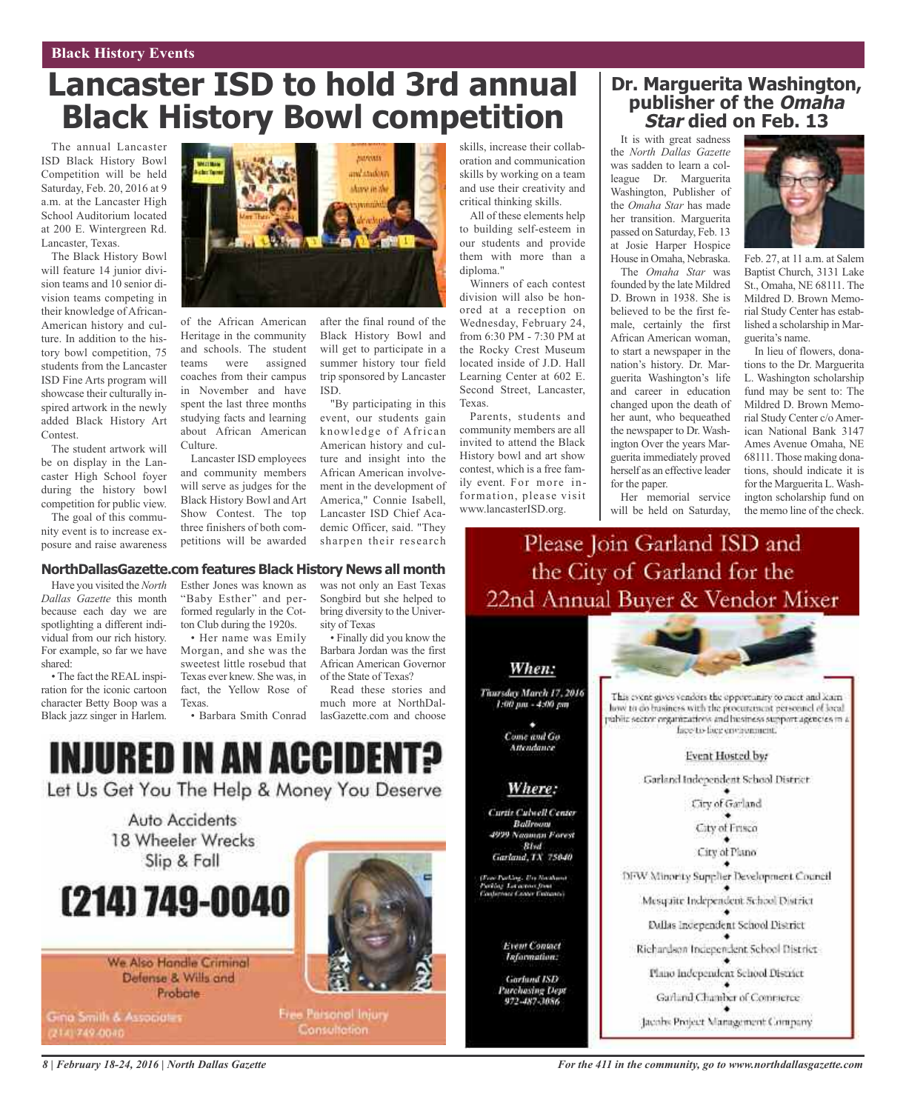# **Lancaster ISD to hold 3rd annual Black History Bowl competition**

The annual Lancaster ISD Black History Bowl Competition will be held Saturday, Feb. 20, 2016 at 9 a.m. at the Lancaster High School Auditorium located at 200 E. Wintergreen Rd. Lancaster, Texas.

The Black History Bowl will feature 14 junior division teams and 10 senior division teams competing in their knowledge of African-American history and culture. In addition to the history bowl competition, 75 students from the Lancaster ISD Fine Arts program will showcase their culturally inspired artwork in the newly added Black History Art Contest.

The student artwork will be on display in the Lancaster High School foyer during the history bowl competition for public view.

The goal of this community event is to increase exposure and raise awareness



of the African American Heritage in the community and schools. The student teams were assigned coaches from their campus in November and have spent the last three months studying facts and learning about African American Culture.

Lancaster ISD employees and community members will serve as judges for the Black History Bowl and Art Show Contest. The top three finishers of both competitions will be awarded

after the final round of the Black History Bowl and will get to participate in a summer history tour field trip sponsored by Lancaster ISD.

"By participating in this event, our students gain knowledge of African American history and culture and insight into the African American involvement in the development of America," Connie Isabell, Lancaster ISD Chief Academic Officer, said. "They sharpen their research

skills, increase their collaboration and communication skills by working on a team and use their creativity and critical thinking skills.

All of these elements help to building self-esteem in our students and provide them with more than a diploma."

Winners of each contest division will also be honored at a reception on Wednesday, February 24, from 6:30 PM - 7:30 PM at the Rocky Crest Museum located inside of J.D. Hall Learning Center at 602 E. Second Street, Lancaster, Texas.

Parents, students and community members are all invited to attend the Black History bowl and art show contest, which is a free family event. For more information, please visit www.lancasterISD.org.

### **Dr. Marguerita Washington, publisher of the Omaha Star died on Feb. 13**

It is with great sadness the *North Dallas Gazette* was sadden to learn a colleague Dr. Marguerita Washington, Publisher of the *Omaha Star* has made her transition. Marguerita passed on Saturday, Feb. 13 at Josie Harper Hospice House in Omaha, Nebraska.

The *Omaha Star* was founded by the late Mildred D. Brown in 1938. She is believed to be the first female, certainly the first African American woman, to start a newspaper in the nation's history. Dr. Marguerita Washington's life and career in education changed upon the death of her aunt, who bequeathed the newspaper to Dr. Washington Over the years Marguerita immediately proved herself as an effective leader for the paper.



Feb. 27, at 11 a.m. at Salem Baptist Church, 3131 Lake St., Omaha, NE 68111. The Mildred D. Brown Memorial Study Center has established a scholarship in Marguerita's name.

In lieu of flowers, donations to the Dr. Marguerita L. Washington scholarship fund may be sent to: The Mildred D. Brown Memorial Study Center c/oAmerican National Bank 3147 Ames Avenue Omaha, NE 68111.Those making donations, should indicate it is for the Marguerita L.Washington scholarship fund on the memo line of the check.

Her memorial service will be held on Saturday, Please Join Garland ISD and

#### **NorthDallasGazette.com features Black History News all month**

Have you visited the *North Dallas Gazette* this month because each day we are spotlighting a different individual from our rich history. For example, so far we have shared:

• The fact the REALinspiration for the iconic cartoon character Betty Boop was a Black jazz singer in Harlem.

Esther Jones was known as "Baby Esther" and performed regularly in the Cotton Club during the 1920s.

• Her name was Emily Morgan, and she was the sweetest little rosebud that Texas ever knew. She was, in fact, the Yellow Rose of Texas.

• Barbara Smith Conrad

was not only an East Texas Songbird but she helped to bring diversity to the University of Texas

• Finally did you know the Barbara Jordan was the first African American Governor of the State of Texas?

Read these stories and much more at NorthDallasGazette.com and choose

# INJURED IN AN ACCIDENT?

Let Us Get You The Help & Money You Deserve

Auto Accidents 18 Wheeler Wrecks Slip & Fall

# (214) 749-0040

We Also Handle Criminal Defense & Wills and Probate

Gina Smith & Associates 2141749-0040



**Free Parsonol Injury Consultation** 

the City of Garland for the 22nd Annual Buyer & Vendor Mixer

#### When:

Thursday March 17, 2016 1:00 pm - 4:00 pm Come and Go

Attendance

#### Where:

Curtie Culvell Center Ballroom. 4999 Nagman Forest

**Blvd** Garland, TX 75040

: Parling, Un Hockson<br>ing Loreanne from<br>spouse Canor Fintennes

**Event Contact**<br>Information:

**Gorfund ISD** Purchasing Dept

This event gives vendors the opportunity to much and learn how to do business with the procurement personnel of local vabite sector organizations and husiness support agencies in a face-to-face environment.

#### Event Hosted by:

Garland Independent School District

City of Garland

City of Frisco

City of Plano

DFW Minority Supplier Development Council

Mesquite Independent School District

Dallas Independent School Discrict

Richardson Independent School District-

Plano Independent School District

Garland Chamber of Commerce

Jacobs Project Management Company

*8 | February 18-24, 2016 | North Dallas Gazette*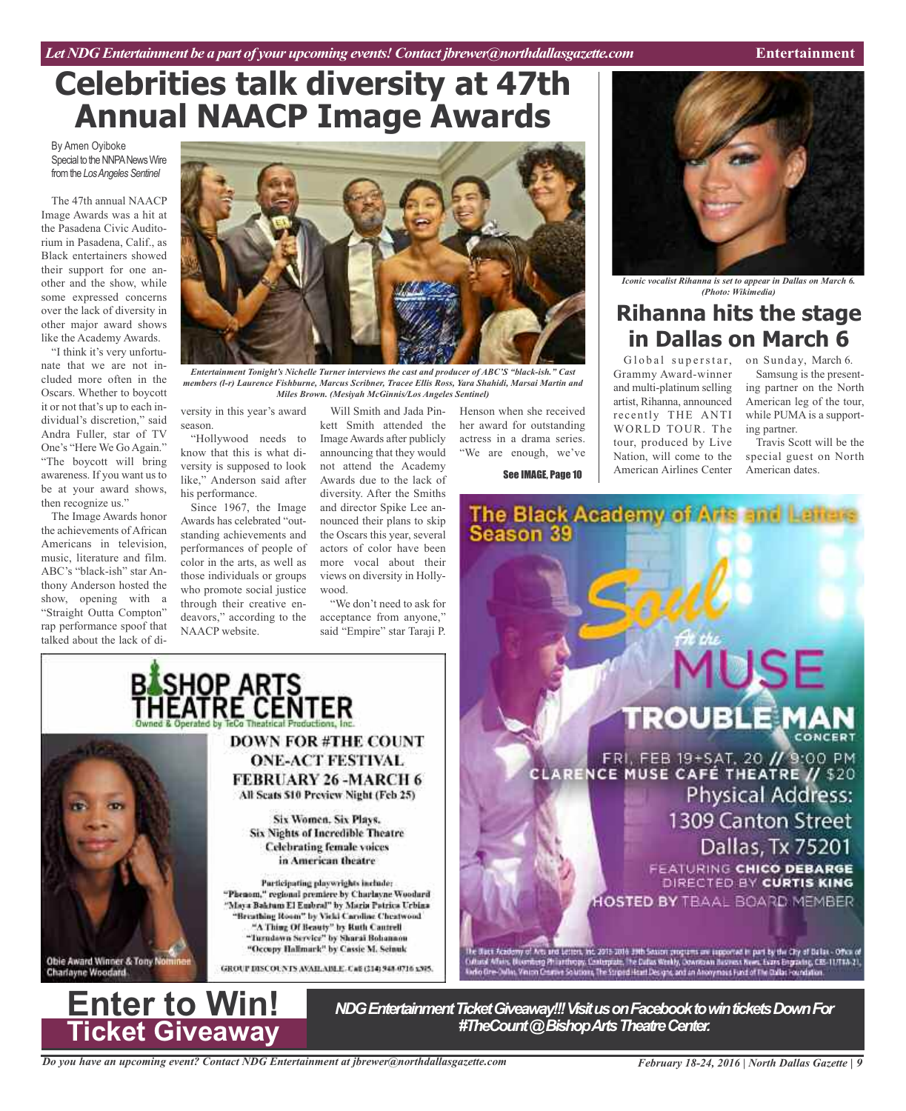# **Celebrities talk diversity at 47th Annual NAACP Image Awards**

By Amen Oyiboke Special to the NNPA News Wire from the Los Angeles Sentinel

The 47th annual NAACP Image Awards was a hit at the Pasadena Civic Auditorium in Pasadena, Calif., as Black entertainers showed their support for one another and the show, while some expressed concerns over the lack of diversity in other major award shows like the Academy Awards.

"I think it's very unfortunate that we are not included more often in the Oscars. Whether to boycott it or not that's up to each individual's discretion," said Andra Fuller, star of TV One's "Here We Go Again." "The boycott will bring awareness. If you want us to be at your award shows, then recognize us."

The Image Awards honor the achievements of African Americans in television, music, literature and film. ABC's "black-ish" star Anthony Anderson hosted the show, opening with a "Straight Outta Compton" rap performance spoof that talked about the lack of di-



*Entertainment Tonight's Nichelle Turner interviews the cast and producer of ABC'S "black-ish." Cast members (l-r) Laurence Fishburne, Marcus Scribner, Tracee Ellis Ross, Yara Shahidi, Marsai Martin and Miles Brown. (Mesiyah McGinnis/Los Angeles Sentinel)*

versity in this year's award season.

"Hollywood needs to know that this is what diversity is supposed to look like," Anderson said after his performance.

Since 1967, the Image Awards has celebrated "outstanding achievements and performances of people of color in the arts, as well as those individuals or groups who promote social justice through their creative endeavors," according to the NAACP website.

BLSHOP ARTS<br>THEATRE CENTER

Will Smith and Jada Pinkett Smith attended the Image Awards after publicly announcing that they would not attend the Academy Awards due to the lack of diversity. After the Smiths and director Spike Lee announced their plans to skip the Oscars this year, several actors of color have been more vocal about their views on diversity in Hollywood.

"We don't need to ask for acceptance from anyone," said "Empire" star Taraji P.

**DOWN FOR #THE COUNT** 

**ONE-ACT FESTIVAL FEBRUARY 26-MARCH6** 

All Scats \$10 Preview Night (Feb 25)

Six Women, Six Plays, Six Nights of Incredible Theatre

**Celebrating female voices** in American theatre

Participating playwrights include: "Phenom," regional premiere by Charlayne Woodard

"Maya Baktum El Embral" by Maria Patrica Urbina "Breathing Room" by Vicki Caroline Cheatwood "A Thing Of Beauty" by Ruth Cantrell

"Turndown Service" by Sharai Bohannon "Occupy Hallmark" by Cassie M. Seinuk

GROUP DISCOUNTS AVAILABLE. Call (314) 948-9716 x305.

Henson when she received her award for outstanding actress in a drama series. "We are enough, we've

See IMAGE, Page 10

*Iconic vocalist Rihanna is set to appear in Dallas on March 6. (Photo: Wikimedia)*

# **Rihanna hits the stage in Dallas on March 6**

Global superstar, on Sunday, March 6. Grammy Award-winner and multi-platinum selling artist, Rihanna, announced recently THE ANTI WORLD TOUR. The tour, produced by Live Nation, will come to the American Airlines Center

Samsung is the present-

ing partner on the North American leg of the tour, while PUMA is a supporting partner.

Travis Scott will be the special guest on North American dates.





Obie Award Winner & Tony Nom

**Charlayne Woodard** 

*NDG Entertainment Ticket Giveaway!!! Visit us on Facebook to win tickets Down For*<br>#TheCount @ Bishop Arts Theatre Center.

*Do you have an upcoming event? Contact NDG Entertainment at jbrewer@northdallasgazette.com*

*February 18-24, 2016 | North Dallas Gazette | 9*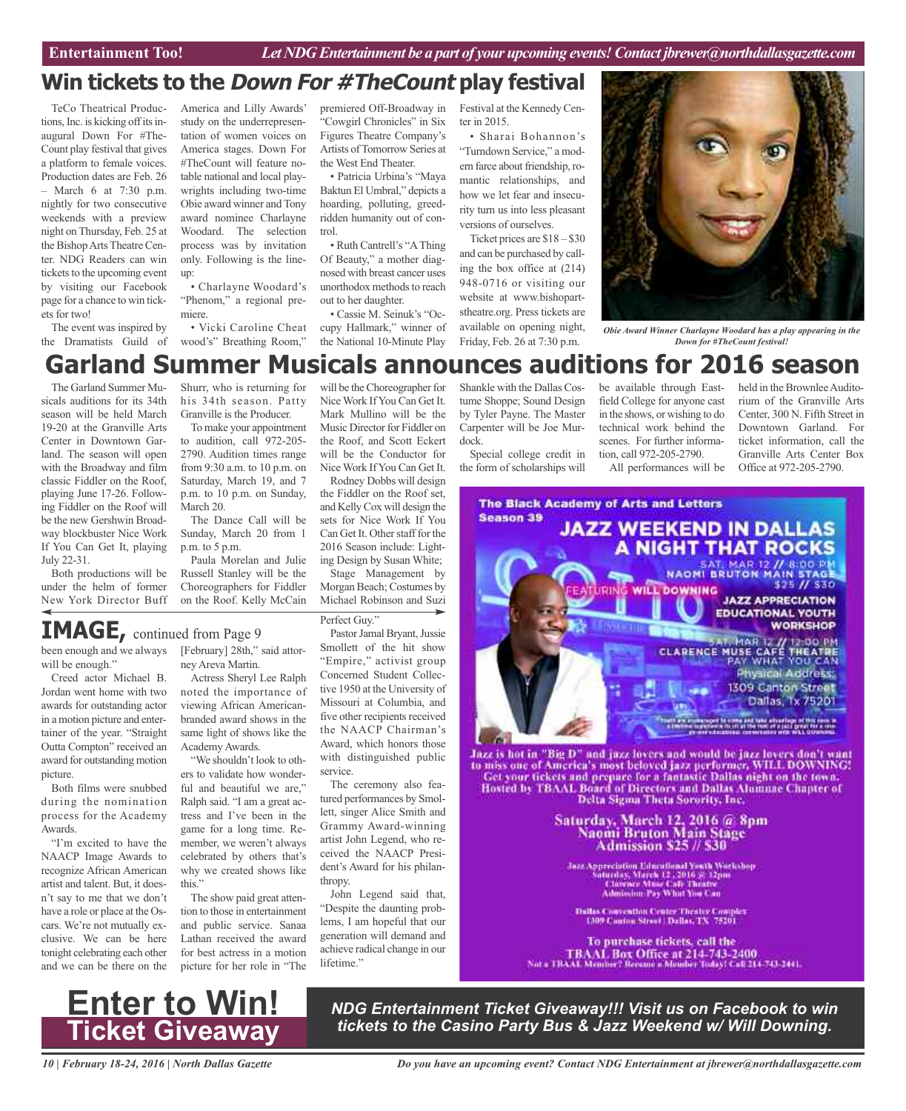## **Win tickets to the Down For #TheCount play festival**

TeCo Theatrical Productions, Inc. is kicking off its inaugural Down For #The-Count play festival that gives a platform to female voices. Production dates are Feb. 26 – March 6 at 7:30 p.m. nightly for two consecutive weekends with a preview night on Thursday, Feb. 25 at the BishopArts Theatre Center. NDG Readers can win tickets to the upcoming event by visiting our Facebook page for a chance to win tickets for two!

The event was inspired by the Dramatists Guild of

America and Lilly Awards' study on the underrepresentation of women voices on America stages. Down For #TheCount will feature notable national and local playwrights including two-time Obie award winner and Tony award nominee Charlayne Woodard. The selection process was by invitation only. Following is the lineup:

• Charlayne Woodard's "Phenom," a regional premiere.

• Vicki Caroline Cheat wood's" Breathing Room,"

premiered Off-Broadway in "Cowgirl Chronicles" in Six Figures Theatre Company's Artists ofTomorrow Series at the West End Theater.

• Patricia Urbina's "Maya Baktun El Umbral," depicts a hoarding, polluting, greedridden humanity out of control.

• Ruth Cantrell's "AThing Of Beauty," a mother diagnosed with breast cancer uses unorthodox methods to reach out to her daughter.

• Cassie M. Seinuk's "Occupy Hallmark," winner of the National 10-Minute Play

Festival at the Kennedy Center in 2015.

• Sharai Bohannon's "Turndown Service," a modern farce about friendship, romantic relationships, and how we let fear and insecurity turn us into less pleasant versions of ourselves.

Ticket prices are \$18 – \$30 and can be purchased by calling the box office at (214) 948-0716 or visiting our website at www.bishopartstheatre.org. Press tickets are available on opening night, Friday, Feb. 26 at 7:30 p.m.



*Obie Award Winner Charlayne Woodard has a play appearing in the Down for #TheCount festival!*

# **Garland Summer Musicals announces auditions for 2016 season**

The Garland Summer Musicals auditions for its 34th season will be held March 19-20 at the Granville Arts Center in Downtown Garland. The season will open with the Broadway and film classic Fiddler on the Roof, playing June 17-26. Following Fiddler on the Roof will be the new Gershwin Broadway blockbuster Nice Work If You Can Get It, playing July 22-31.

Both productions will be under the helm of former New York Director Buff

Shurr, who is returning for his 34th season. Patty Granville is the Producer.

To make your appointment to audition, call 972-205- 2790. Audition times range from 9:30 a.m. to 10 p.m. on Saturday, March 19, and 7 p.m. to 10 p.m. on Sunday, March 20.

The Dance Call will be Sunday, March 20 from 1 p.m. to 5 p.m.

Paula Morelan and Julie Russell Stanley will be the Choreographers for Fiddler on the Roof. Kelly McCain

will be the Choreographer for Nice Work IfYou Can Get It. Mark Mullino will be the Music Director for Fiddler on the Roof, and Scott Eckert will be the Conductor for Nice Work IfYou Can Get It.

Rodney Dobbs will design the Fiddler on the Roof set, and KellyCox will design the sets for Nice Work If You Can Get It. Other staff for the 2016 Season include: Lighting Design by Susan White;

Stage Management by Morgan Beach; Costumes by Michael Robinson and Suzi

Perfect Guy."

been enough and we always **IMAGE,** continued from Page <sup>9</sup>

will be enough." Creed actor Michael B.

Jordan went home with two awards for outstanding actor in a motion picture and entertainer of the year. "Straight Outta Compton" received an award for outstanding motion picture.

Both films were snubbed during the nomination process for the Academy Awards.

"I'm excited to have the NAACP Image Awards to recognize African American artist and talent. But, it doesn't say to me that we don't have a role or place at the Oscars. We're not mutually exclusive. We can be here tonight celebrating each other and we can be there on the [February] 28th," said attorney Areva Martin.

Actress Sheryl Lee Ralph noted the importance of viewing African Americanbranded award shows in the same light of shows like the Academy Awards.

"We shouldn't look to others to validate how wonderful and beautiful we are," Ralph said. "I am a great actress and I've been in the game for a long time. Remember, we weren't always celebrated by others that's why we created shows like this."

The show paid great attention to those in entertainment and public service. Sanaa Lathan received the award for best actress in a motion picture for her role in "The

Pastor Jamal Bryant, Jussie Smollett of the hit show "Empire," activist group Concerned Student Collective 1950 at the University of Missouri at Columbia, and five other recipients received the NAACP Chairman's Award, which honors those with distinguished public service.

The ceremony also featured performances by Smollett, singer Alice Smith and Grammy Award-winning artist John Legend, who received the NAACP President's Award for his philanthropy.

John Legend said that, "Despite the daunting problems, I am hopeful that our generation will demand and achieve radical change in our lifetime."

Shankle with the Dallas Costume Shoppe; Sound Design by Tyler Payne. The Master Carpenter will be Joe Murdock.

Special college credit in the form of scholarships will

be available through Eastfield College for anyone cast in the shows, or wishing to do technical work behind the scenes. For further information, call 972-205-2790.

All performances will be

held in the Brownlee Auditorium of the Granville Arts Center, 300 N. Fifth Street in Downtown Garland. For ticket information, call the Granville Arts Center Box Office at 972-205-2790.



Jazz Appreciation Educational Youth Workshop<br>Saturday, March 12 , 2016 3: 12pm<br>Clavence Muse Cafe Theatre<br>Admission Pay What You Can

**Dallas Convention Center Theater Complex**<br>1,109 Cauton Street | Dallas, TX 75201

To purchase tickets, call the TBAAL Box Office at 214-743-2400<br>Not a TBAAL Member? Receive a Member Today! Call 114-743-2441.



*NDG Entertainment Ticket Giveaway!!! Visit us on Facebook to win tickets to the Casino Party Bus & Jazz Weekend w/ Will Downing.*

*10 | February 18-24, 2016 | North Dallas Gazette*

*Do you have an upcoming event? Contact NDG Entertainment at jbrewer@northdallasgazette.com*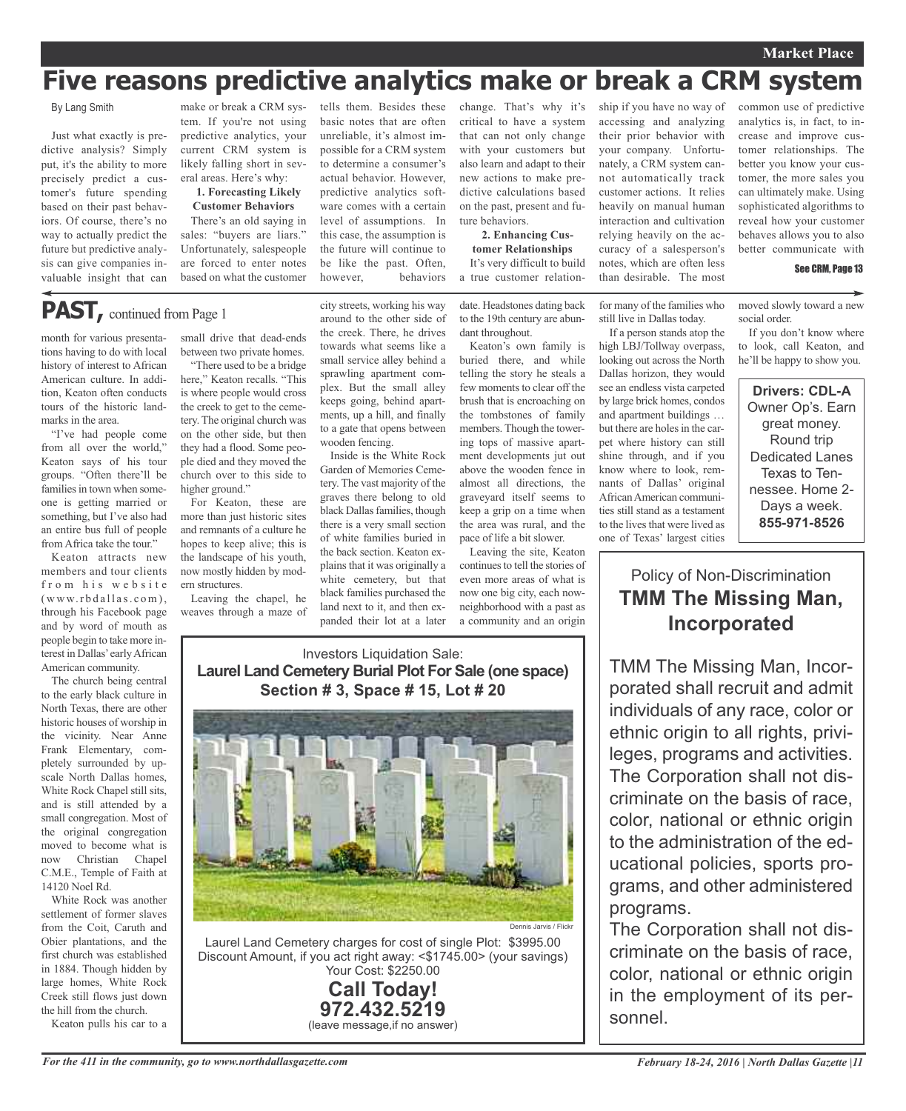#### **Market Place**

# **Five reasons predictive analytics make or break a CRM system**

#### By Lang Smith

Just what exactly is predictive analysis? Simply put, it's the ability to more precisely predict a customer's future spending based on their past behaviors. Of course, there's no way to actually predict the future but predictive analysis can give companies invaluable insight that can

make or break a CRM system. If you're not using predictive analytics, your current CRM system is likely falling short in several areas. Here's why:

**1. Forecasting Likely Customer Behaviors**

There's an old saying in sales: "buyers are liars." Unfortunately, salespeople are forced to enter notes based on what the customer

**PAST,** continued from Page <sup>1</sup>

month for various presentations having to do with local history of interest to African American culture. In addition, Keaton often conducts tours of the historic landmarks in the area.

"I've had people come from all over the world," Keaton says of his tour groups. "Often there'll be families in town when someone is getting married or something, but I've also had an entire bus full of people from Africa take the tour."

Keaton attracts new members and tour clients from his website  $(www.rbdallas.com),$ through his Facebook page and by word of mouth as people begin to take more interest in Dallas'earlyAfrican American community.

The church being central to the early black culture in North Texas, there are other historic houses of worship in the vicinity. Near Anne Frank Elementary, completely surrounded by upscale North Dallas homes, White Rock Chapel still sits, and is still attended by a small congregation. Most of the original congregation moved to become what is now Christian Chapel C.M.E., Temple of Faith at 14120 Noel Rd.

White Rock was another settlement of former slaves from the Coit, Caruth and Obier plantations, and the first church was established in 1884. Though hidden by large homes, White Rock Creek still flows just down the hill from the church.

Keaton pulls his car to a

small drive that dead-ends between two private homes.

"There used to be a bridge here," Keaton recalls. "This is where people would cross the creek to get to the cemetery. The original church was on the other side, but then they had a flood. Some people died and they moved the church over to this side to higher ground."

For Keaton, these are more than just historic sites and remnants of a culture he hopes to keep alive; this is the landscape of his youth, now mostly hidden by modern structures.

Leaving the chapel, he weaves through a maze of city streets, working his way around to the other side of the creek. There, he drives towards what seems like a small service alley behind a sprawling apartment complex. But the small alley keeps going, behind apartments, up a hill, and finally to a gate that opens between wooden fencing.

tells them. Besides these basic notes that are often unreliable, it's almost impossible for a CRM system to determine a consumer's actual behavior. However, predictive analytics software comes with a certain level of assumptions. In this case, the assumption is the future will continue to be like the past. Often, however, behaviors

Inside is the White Rock Garden of Memories Cemetery. The vast majority of the graves there belong to old black Dallas families, though there is a very small section of white families buried in the back section. Keaton explains that it was originally a white cemetery, but that black families purchased the land next to it, and then expanded their lot at a later

change. That's why it's critical to have a system that can not only change with your customers but also learn and adapt to their new actions to make predictive calculations based on the past, present and future behaviors.

**2. Enhancing Customer Relationships** It's very difficult to build a true customer relation-

date. Headstones dating back to the 19th century are abundant throughout.

Keaton's own family is buried there, and while telling the story he steals a few moments to clear off the brush that is encroaching on the tombstones of family members. Though the towering tops of massive apartment developments jut out above the wooden fence in almost all directions, the graveyard itself seems to keep a grip on a time when the area was rural, and the pace of life a bit slower.

Leaving the site, Keaton continues to tell the stories of even more areas of what is now one big city, each nowneighborhood with a past as a community and an origin ship if you have no way of accessing and analyzing their prior behavior with your company. Unfortunately, a CRM system cannot automatically track customer actions. It relies heavily on manual human interaction and cultivation relying heavily on the accuracy of a salesperson's notes, which are often less

for many of the families who still live in Dallas today. If a person stands atop the high LBJ/Tollway overpass, looking out across the North Dallas horizon, they would see an endless vista carpeted by large brick homes, condos and apartment buildings … but there are holes in the carpet where history can still shine through, and if you know where to look, remnants of Dallas' original African American communities still stand as a testament to the lives that were lived as one of Texas' largest cities

than desirable. The most

common use of predictive analytics is, in fact, to increase and improve customer relationships. The better you know your customer, the more sales you can ultimately make. Using sophisticated algorithms to reveal how your customer behaves allows you to also better communicate with

#### See CRM, Page 13

moved slowly toward a new social order.

If you don't know where to look, call Keaton, and he'll be happy to show you.

**Drivers: CDL-A** Owner Op's. Earn great money. Round trip Dedicated Lanes Texas to Tennessee. Home 2- Days a week. **855-971-8526**

Policy of Non-Discrimination **TMM The Missing Man, Incorporated**

TMM The Missing Man, Incorporated shall recruit and admit individuals of any race, color or ethnic origin to all rights, privileges, programs and activities. The Corporation shall not discriminate on the basis of race, color, national or ethnic origin to the administration of the educational policies, sports programs, and other administered programs.

The Corporation shall not discriminate on the basis of race, color, national or ethnic origin in the employment of its personnel.

#### Investors Liquidation Sale: **Laurel Land Cemetery Burial Plot For Sale (one space) Section # 3, Space # 15, Lot # 20**



Laurel Land Cemetery charges for cost of single Plot: \$3995.00 Discount Amount, if you act right away: <\$1745.00> (your savings) Your Cost: \$2250.00

**Call Today! 972.432.5219** (leave message,if no answer)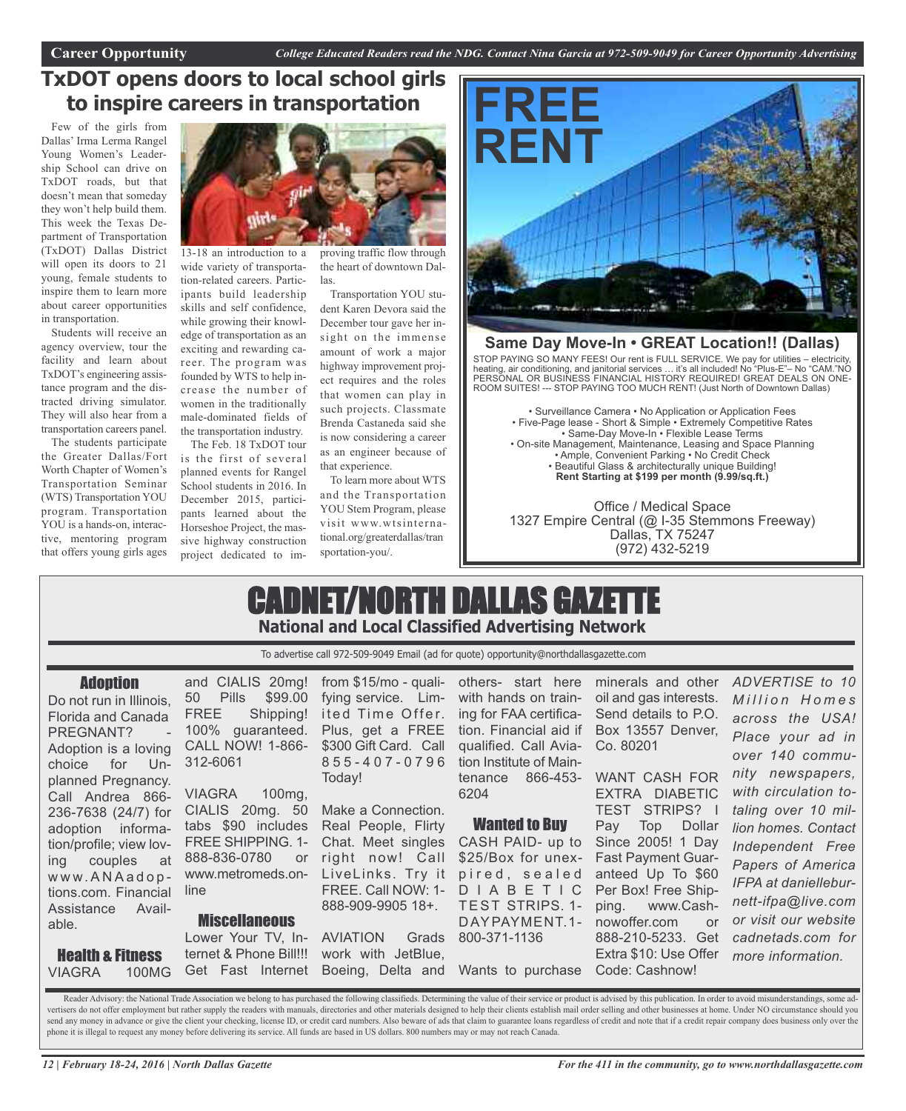## **TxDOT opens doors to local school girls to inspire careers in transportation**

Few of the girls from Dallas' Irma Lerma Rangel Young Women's Leadership School can drive on TxDOT roads, but that doesn't mean that someday they won't help build them. This week the Texas Department of Transportation (TxDOT) Dallas District will open its doors to 21 young, female students to inspire them to learn more about career opportunities in transportation.

Students will receive an agency overview, tour the facility and learn about TxDOT's engineering assistance program and the distracted driving simulator. They will also hear from a transportation careers panel.

The students participate the Greater Dallas/Fort Worth Chapter of Women's Transportation Seminar (WTS) Transportation YOU program. Transportation YOU is a hands-on, interactive, mentoring program that offers young girls ages



13-18 an introduction to a wide variety of transportation-related careers. Participants build leadership skills and self confidence, while growing their knowledge of transportation as an exciting and rewarding career. The program was founded by WTS to help increase the number of women in the traditionally male-dominated fields of the transportation industry.

The Feb. 18 TxDOT tour is the first of several planned events for Rangel School students in 2016. In December 2015, participants learned about the Horseshoe Project, the massive highway construction project dedicated to improving traffic flow through the heart of downtown Dallas.

Transportation YOU student Karen Devora said the December tour gave her insight on the immense amount of work a major highway improvement project requires and the roles that women can play in such projects. Classmate Brenda Castaneda said she is now considering a career as an engineer because of that experience.

To learn more about WTS and the Transportation YOU Stem Program, please visit www.wtsinternational.org/greaterdallas/tran sportation-you/.



### **Same Day Move-In • GREAT Location!! (Dallas)**

STOP PAYING SO MANY FEES! Our rent is FULL SERVICE. We pay for utilities – electricity, heating, air conditioning, and janitorial services … it's all included! No "Plus-E"– No "CAM."NO PERSONAL OR BUSINESS FINANCIAL HISTORY REQUIRED! GREAT DEALS ON ONE-ROOM SUITES! --- STOP PAYING TOO MUCH RENT! (Just North of Downtown Dallas)

• Surveillance Camera • No Application or Application Fees • Five-Page lease - Short & Simple • Extremely Competitive Rates • Same-Day Move-In • Flexible Lease Terms • On-site Management, Maintenance, Leasing and Space Planning • Ample, Convenient Parking • No Credit Check • Beautiful Glass & architecturally unique Building! **Rent Starting at \$199 per month (9.99/sq.ft.)**

Office / Medical Space 1327 Empire Central (@ I-35 Stemmons Freeway) Dallas, TX 75247 (972) 432-5219

# CADNET/NORTH DALLAS GAZETTE **National and Local Classified Advertising Network**

To advertise call 972-509-9049 Email (ad for quote) opportunity@northdallasgazette.com

#### **Adoption**

Do not run in Illinois. Florida and Canada PREGNANT? Adoption is a loving choice for Unplanned Pregnancy. Call Andrea 866- 236-7638 (24/7) for adoption information/profile; view loving couples at w w w. A N A a d o p tions.com. Financial line Assistance Available.

Health & Fitness VIAGRA 100MG

and CIALIS 20mg! 50 Pills \$99.00 FREE Shipping! 100% guaranteed. CALL NOW! 1-866- 312-6061 VIAGRA 100mg,

CIALIS 20mg. 50 tabs \$90 includes FREE SHIPPING. 1- 888-836-0780 or www.metromeds.on-

**Miscellaneous** 

from \$15/mo - qualifying service. Limited Time Offer. Plus, get a FREE \$300 Gift Card. Call 8 5 5 - 4 0 7 - 0 7 9 6 Today!

Make a Connection. Real People, Flirty Chat. Meet singles right now! Call LiveLinks. Try it FREE. Call NOW: 1- 888-909-9905 18+.

Lower Your TV, In-AVIATION Grads ternet & Phone Bill!!! work with JetBlue, Get Fast Internet Boeing, Delta and Wants to purchase Code: Cashnow!

others- start here with hands on training for FAA certification. Financial aid if Box 13557 Denver, qualified. Call Aviation Institute of Maintenance 866-453- WANT CASH FOR 6204

#### Wanted to Buy

CASH PAID- up to \$25/Box for unexpired, sealed D I A B E T I C TEST STRIPS. 1- DAYPAYMENT.1- 800-371-1136

minerals and other oil and gas interests. Send details to P.O. Co. 80201

EXTRA DIABETIC TEST STRIPS? I Pay Top Dollar Since 2005! 1 Day Fast Payment Guaranteed Up To \$60 Per Box! Free Shipping. www.Cashnowoffer.com or 888-210-5233. Get Extra \$10: Use Offer *more information.*

*ADVERTISE to 10 M i l l i o n H o m e s across the USA! Place your ad in over 140 community newspapers, with circulation totaling over 10 million homes. Contact Independent Free Papers of America IFPA at danielleburnett-ifpa@live.com or visit our website cadnetads.com for*

Reader Advisory: the National Trade Association we belong to has purchased the following classifieds. Determining the value of their service or product is advised by this publication. In order to avoid misunderstandings, s vertisers do not offer employment but rather supply the readers with manuals, directories and other materials designed to help their clients establish mail order selling and other businesses at home. Under NO circumstance send any money in advance or give the client your checking, license ID, or credit card numbers. Also beware of ads that claim to guarantee loans regardless of credit and note that if a credit repair company does business o phone it is illegal to request any money before delivering its service. All funds are based in US dollars. 800 numbers may or may not reach Canada.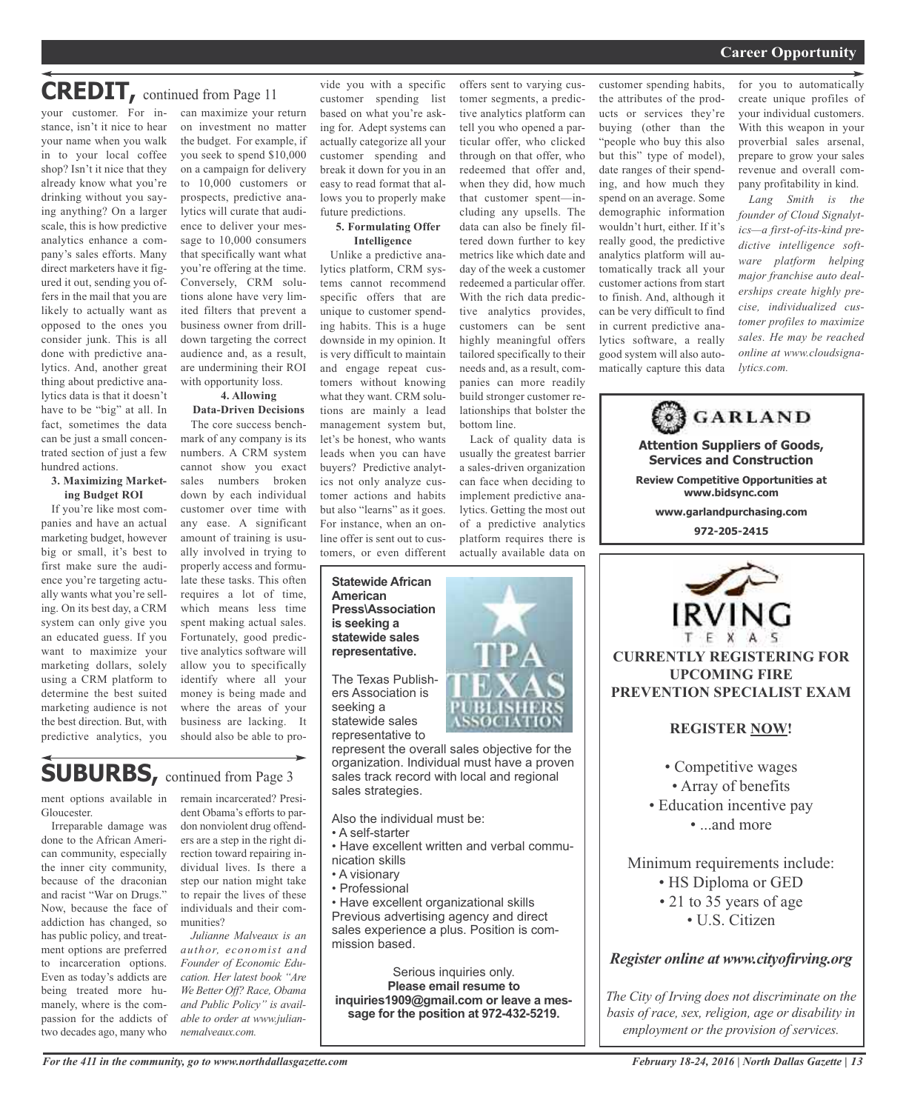#### *On a quest for qualified candidates? Contact Nina Garcia at 972-509-9049* **Career Opportunity**

# **CREDIT,** continued from Page <sup>11</sup>

your customer. For instance, isn't it nice to hear your name when you walk in to your local coffee shop? Isn't it nice that they already know what you're drinking without you saying anything? On a larger scale, this is how predictive analytics enhance a company's sales efforts. Many direct marketers have it figured it out, sending you offers in the mail that you are likely to actually want as opposed to the ones you consider junk. This is all done with predictive analytics. And, another great thing about predictive analytics data is that it doesn't have to be "big" at all. In fact, sometimes the data can be just a small concentrated section of just a few hundred actions.

#### **3. Maximizing Marketing Budget ROI**

If you're like most companies and have an actual marketing budget, however big or small, it's best to first make sure the audience you're targeting actually wants what you're selling. On its best day, a CRM system can only give you an educated guess. If you want to maximize your marketing dollars, solely using a CRM platform to determine the best suited marketing audience is not the best direction. But, with predictive analytics, you

can maximize your return on investment no matter the budget. For example, if you seek to spend \$10,000 on a campaign for delivery to 10,000 customers or prospects, predictive analytics will curate that audience to deliver your message to 10,000 consumers that specifically want what you're offering at the time. Conversely, CRM solutions alone have very limited filters that prevent a business owner from drilldown targeting the correct audience and, as a result, are undermining their ROI with opportunity loss.

#### **4. Allowing**

**Data-Driven Decisions** The core success benchmark of any company is its numbers. A CRM system cannot show you exact sales numbers broken down by each individual customer over time with any ease. A significant amount of training is usually involved in trying to properly access and formulate these tasks. This often requires a lot of time, which means less time spent making actual sales. Fortunately, good predictive analytics software will allow you to specifically identify where all your money is being made and where the areas of your business are lacking. It should also be able to pro-

# **SUBURBS,** continued from Page <sup>3</sup>

ment options available in Gloucester.

Irreparable damage was done to the African American community, especially the inner city community, because of the draconian and racist "War on Drugs." Now, because the face of addiction has changed, so has public policy, and treatment options are preferred to incarceration options. Even as today's addicts are being treated more humanely, where is the compassion for the addicts of two decades ago, many who remain incarcerated? President Obama's efforts to pardon nonviolent drug offenders are a step in the right direction toward repairing individual lives. Is there a step our nation might take to repair the lives of these individuals and their communities?

*Julianne Malveaux is an author, economist and Founder of Economic Education. Her latest book "Are We Better Off? Race, Obama and Public Policy" is available to order at www.juliannemalveaux.com.*

vide you with a specific customer spending list based on what you're asking for. Adept systems can actually categorize all your customer spending and break it down for you in an easy to read format that allows you to properly make future predictions.

#### **5. Formulating Offer Intelligence**

Unlike a predictive analytics platform, CRM systems cannot recommend specific offers that are unique to customer spending habits. This is a huge downside in my opinion. It is very difficult to maintain and engage repeat customers without knowing what they want. CRM solutions are mainly a lead management system but, let's be honest, who wants leads when you can have buyers? Predictive analytics not only analyze customer actions and habits but also "learns" as it goes. For instance, when an online offer is sent out to customers, or even different

#### **Statewide African American Press\Association is seeking a statewide sales representative.**

The Texas Publishers Association is seeking a statewide sales representative to

represent the overall sales objective for the organization. Individual must have a proven sales track record with local and regional sales strategies.

Also the individual must be:

- A self-starter
- Have excellent written and verbal communication skills
- A visionary
- Professional
- 

• Have excellent organizational skills Previous advertising agency and direct sales experience a plus. Position is commission based.

Serious inquiries only. **Please email resume to inquiries1909@gmail.com or leave a message for the position at 972-432-5219.**

offers sent to varying customer segments, a predictive analytics platform can tell you who opened a particular offer, who clicked through on that offer, who redeemed that offer and, when they did, how much that customer spent—including any upsells. The data can also be finely filtered down further to key metrics like which date and day of the week a customer redeemed a particular offer. With the rich data predictive analytics provides, customers can be sent highly meaningful offers tailored specifically to their needs and, as a result, companies can more readily build stronger customer relationships that bolster the bottom line.

Lack of quality data is usually the greatest barrier a sales-driven organization can face when deciding to implement predictive analytics. Getting the most out of a predictive analytics platform requires there is actually available data on



for you to automatically create unique profiles of your individual customers. With this weapon in your proverbial sales arsenal, prepare to grow your sales revenue and overall company profitability in kind.

*Lang Smith is the founder of Cloud Signalytics—a first-of-its-kind predictive intelligence software platform helping major franchise auto dealerships create highly precise, individualized customer profiles to maximize sales. He may be reached online at www.cloudsignalytics.com.*

**Attention Suppliers of Goods, Services and Construction Review Competitive Opportunities at www.bidsync.com www.garlandpurchasing.com 972-205-2415 IRVING** 

**GARLAND** 

#### **CURRENTLY REGISTERING FOR UPCOMING FIRE PREVENTION SPECIALIST EXAM**

#### **REGISTER NOW!**

- Competitive wages
- Array of benefits
- Education incentive pay • ...and more
	-

Minimum requirements include:

- HS Diploma or GED
- 21 to 35 years of age • U.S. Citizen

### *Register online at www.cityofirving.org*

*The City of Irving does not discriminate on the basis of race, sex, religion, age or disability in employment or the provision of services.*

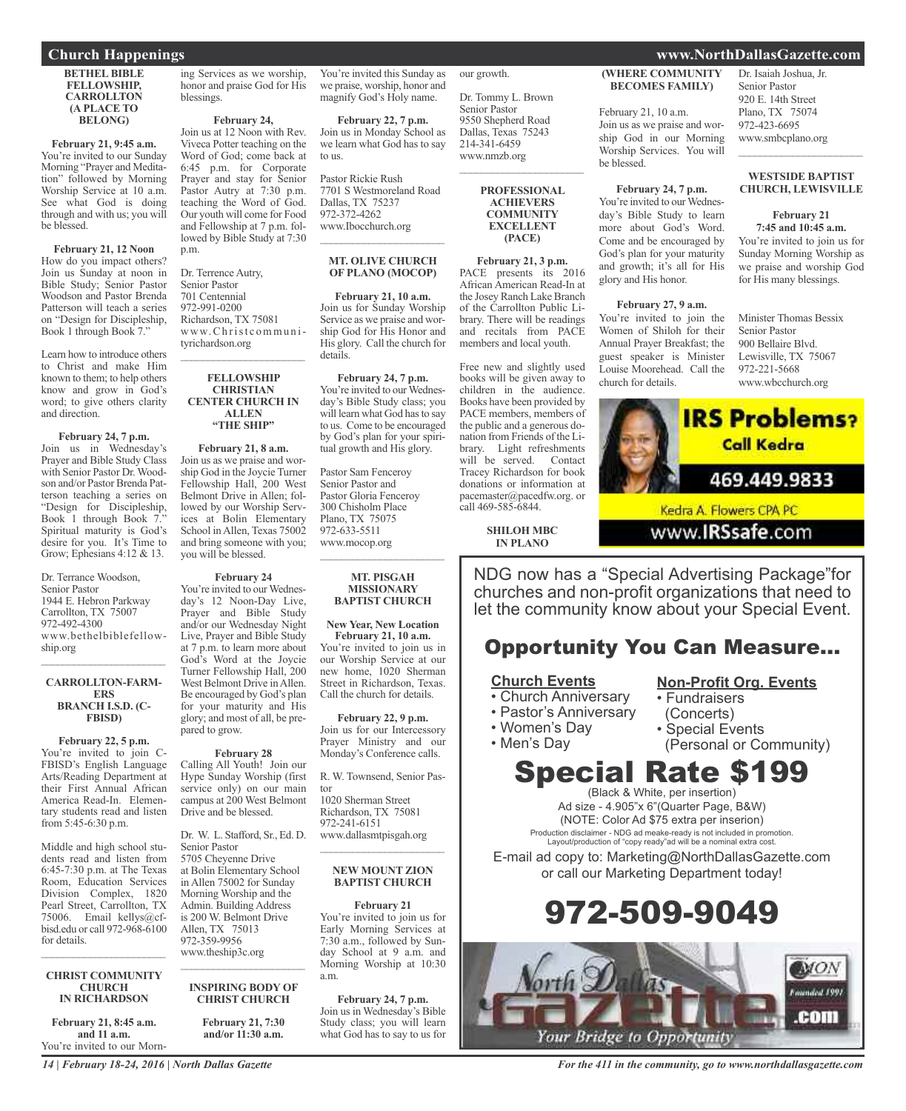**Church Happenings www.NorthDallasGazette.com**

**BETHEL BIBLE FELLOWSHIP, CARROLLTON (A PLACE TO BELONG)**

**February 21, 9:45 a.m.** You're invited to our Sunday Morning "Prayer and Meditation" followed by Morning Worship Service at 10 a.m. See what God is doing through and with us; you will be blessed.

**February 21, 12 Noon**

How do you impact others? Join us Sunday at noon in Bible Study; Senior Pastor Woodson and Pastor Brenda Patterson will teach a series on "Design for Discipleship, Book 1 through Book 7."

Learn how to introduce others to Christ and make Him known to them; to help others know and grow in God's word; to give others clarity and direction.

#### **February 24, 7 p.m.**

Join us in Wednesday's Prayer and Bible Study Class with Senior Pastor Dr. Woodson and/or Pastor Brenda Patterson teaching a series on "Design for Discipleship, Book  $1$  through Book  $7$ Spiritual maturity is God's desire for you. It's Time to Grow; Ephesians 4:12 & 13.

Dr. Terrance Woodson, Senior Pastor 1944 E. Hebron Parkway Carrollton, TX 75007 972-492-4300 www.bethelbiblefellowship.org

#### **CARROLLTON-FARM-ERS BRANCH I.S.D. (C-FBISD)**

 $\overline{\phantom{a}}$  , and the set of the set of the set of the set of the set of the set of the set of the set of the set of the set of the set of the set of the set of the set of the set of the set of the set of the set of the s

#### **February 22, 5 p.m.**

You're invited to join C-FBISD's English Language Arts/Reading Department at their First Annual African America Read-In. Elementary students read and listen from 5:45-6:30 p.m.

Middle and high school students read and listen from 6:45-7:30 p.m. at The Texas Room, Education Services Division Complex, 1820 Pearl Street, Carrollton, TX 75006. Email kellys@cfbisd.edu or call 972-968-6100 for details.

#### **CHRIST COMMUNITY CHURCH IN RICHARDSON**

 $\overline{\phantom{a}}$  , and the set of the set of the set of the set of the set of the set of the set of the set of the set of the set of the set of the set of the set of the set of the set of the set of the set of the set of the s

**February 21, 8:45 a.m. and 11 a.m.** You're invited to our Morn-

ing Services as we worship, honor and praise God for His blessings.

**February 24,**

Join us at 12 Noon with Rev. Viveca Potter teaching on the Word of God; come back at 6:45 p.m. for Corporate Prayer and stay for Senior Pastor Autry at 7:30 p.m. teaching the Word of God. Our youth will come for Food and Fellowship at 7 p.m. followed by Bible Study at 7:30 p.m.

Dr. Terrence Autry, Senior Pastor 701 Centennial 972-991-0200 Richardson, TX 75081 www.Ch rist c ommu n ityrichardson.org  $\mathcal{L}_\text{max}$  , where  $\mathcal{L}_\text{max}$  and  $\mathcal{L}_\text{max}$ 

#### **FELLOWSHIP CHRISTIAN CENTER CHURCH IN ALLEN "THE SHIP"**

**February 21, 8 a.m.** Join us as we praise and worship God in the Joycie Turner Fellowship Hall, 200 West Belmont Drive in Allen; followed by our Worship Services at Bolin Elementary School inAllen, Texas 75002 and bring someone with you; you will be blessed.

**February 24**

You're invited to our Wednesday's 12 Noon-Day Live, Prayer and Bible Study and/or our Wednesday Night Live, Prayer and Bible Study at 7 p.m. to learn more about God's Word at the Joycie Turner Fellowship Hall, 200 West Belmont Drive in Allen. Be encouraged by God's plan for your maturity and His glory; and most of all, be prepared to grow.

#### **February 28**

Calling All Youth! Join our Hype Sunday Worship (first service only) on our main campus at 200 West Belmont Drive and be blessed.

#### Dr. W. L. Stafford, Sr., Ed. D. Senior Pastor 5705 Cheyenne Drive at Bolin Elementary School in Allen 75002 for Sunday Morning Worship and the

Admin. Building Address is 200 W. Belmont Drive Allen, TX 75013 972-359-9956 www.theship3c.org  $\overline{\phantom{a}}$  , and the set of the set of the set of the set of the set of the set of the set of the set of the set of the set of the set of the set of the set of the set of the set of the set of the set of the set of the s

#### **INSPIRING BODY OF CHRIST CHURCH**

**February 21, 7:30 and/or 11:30 a.m.**

You're invited this Sunday as we praise, worship, honor and magnify God's Holy name.

**February 22, 7 p.m.** Join us in Monday School as we learn what God has to say to us.

Pastor Rickie Rush 7701 S Westmoreland Road Dallas, TX 75237 972-372-4262 www.Ibocchurch.org  $\overline{\phantom{a}}$  , where  $\overline{\phantom{a}}$  , where  $\overline{\phantom{a}}$  , where  $\overline{\phantom{a}}$ 

#### **MT. OLIVE CHURCH OF PLANO (MOCOP)**

**February 21, 10 a.m.** Join us for Sunday Worship Service as we praise and worship God for His Honor and His glory. Call the church for details.

**February 24, 7 p.m.** You're invited to our Wednesday's Bible Study class; you will learn what God has to say to us. Come to be encouraged by God's plan for your spiritual growth and His glory.

Pastor Sam Fenceroy Senior Pastor and Pastor Gloria Fenceroy 300 Chisholm Place Plano, TX 75075 972-633-5511 www.mocop.org  $\overline{\phantom{a}}$  ,  $\overline{\phantom{a}}$  ,  $\overline{\phantom{a}}$  ,  $\overline{\phantom{a}}$  ,  $\overline{\phantom{a}}$  ,  $\overline{\phantom{a}}$  ,  $\overline{\phantom{a}}$  ,  $\overline{\phantom{a}}$  ,  $\overline{\phantom{a}}$  ,  $\overline{\phantom{a}}$  ,  $\overline{\phantom{a}}$  ,  $\overline{\phantom{a}}$  ,  $\overline{\phantom{a}}$  ,  $\overline{\phantom{a}}$  ,  $\overline{\phantom{a}}$  ,  $\overline{\phantom{a}}$ 

#### **MT. PISGAH MISSIONARY BAPTIST CHURCH**

**New Year, New Location February 21, 10 a.m.**

You're invited to join us in our Worship Service at our new home, 1020 Sherman Street in Richardson, Texas. Call the church for details.

#### **February 22, 9 p.m.**

Join us for our Intercessory Prayer Ministry and our Monday's Conference calls.

R. W. Townsend, Senior Pastor 1020 Sherman Street

Richardson, TX 75081 972-241-6151 www.dallasmtpisgah.org

#### **NEW MOUNT ZION BAPTIST CHURCH**

\_\_\_\_\_\_\_\_\_\_\_\_\_\_\_\_\_\_\_\_\_\_\_

#### **February 21**

You're invited to join us for Early Morning Services at 7:30 a.m., followed by Sunday School at 9 a.m. and Morning Worship at 10:30 a.m.

**February 24, 7 p.m.** Join us in Wednesday's Bible Study class; you will learn what God has to say to us for our growth.

Dr. Tommy L. Brown Senior Pastor 9550 Shepherd Road Dallas, Texas 75243 214-341-6459 www.nmzb.org  $\overline{\phantom{a}}$  , and the set of the set of the set of the set of the set of the set of the set of the set of the set of the set of the set of the set of the set of the set of the set of the set of the set of the set of the s

> **PROFESSIONAL ACHIEVERS COMMUNITY EXCELLENT (PACE)**

**February 21, 3 p.m.** PACE presents its 2016 African American Read-In at the Josey Ranch Lake Branch of the Carrollton Public Library. There will be readings and recitals from PACE members and local youth.

Free new and slightly used books will be given away to children in the audience. Books have been provided by PACE members, members of the public and a generous donation from Friends of the Library. Light refreshments will be served. Contact Tracey Richardson for book donations or information at pacemaster@pacedfw.org. or call 469-585-6844.

> **SHILOH MBC IN PLANO**

**(WHERE COMMUNITY BECOMES FAMILY)**

February 21, 10 a.m. Join us as we praise and worship God in our Morning Worship Services. You will be blessed.

#### **February 24, 7 p.m.**

You're invited to our Wednesday's Bible Study to learn more about God's Word. Come and be encouraged by God's plan for your maturity and growth; it's all for His glory and His honor.

#### **February 27, 9 a.m.**

You're invited to join the Women of Shiloh for their Annual Prayer Breakfast; the guest speaker is Minister Louise Moorehead. Call the church for details.

Dr. Isaiah Joshua, Jr. Senior Pastor 920 E. 14th Street Plano, TX 75074 972-423-6695 www.smbcplano.org

#### **WESTSIDE BAPTIST CHURCH, LEWISVILLE**

\_\_\_\_\_\_\_\_\_\_\_\_\_\_\_\_\_\_\_\_\_\_\_

#### **February 21**

**7:45 and 10:45 a.m.** You're invited to join us for Sunday Morning Worship as we praise and worship God for His many blessings.

Minister Thomas Bessix Senior Pastor 900 Bellaire Blvd. Lewisville, TX 75067 972-221-5668 www.wbcchurch.org



www.IRSsafe.com

NDG now has a "Special Advertising Package"for churches and non-profit organizations that need to let the community know about your Special Event.

### Opportunity You Can Measure...

#### **Church Events**

- Church Anniversary
- Pastor's Anniversary
- Women's Day
- Men's Day • Special Events
	- (Personal or Community)

**Non-Profit Org. Events**

• Fundraisers (Concerts)

# Special Rate \$199

(Black & White, per insertion) Ad size - 4.905"x 6"(Quarter Page, B&W) (NOTE: Color Ad \$75 extra per inserion) Production disclaimer - NDG ad meake-ready is not included in promotion. Layout/production of "copy ready"ad will be a nominal extra cost.

E-mail ad copy to: Marketing@NorthDallasGazette.com or call our Marketing Department today!

# 972-509-9049



*14 | February 18-24, 2016 | North Dallas Gazette*

*For the 411 in the community, go to www.northdallasgazette.com*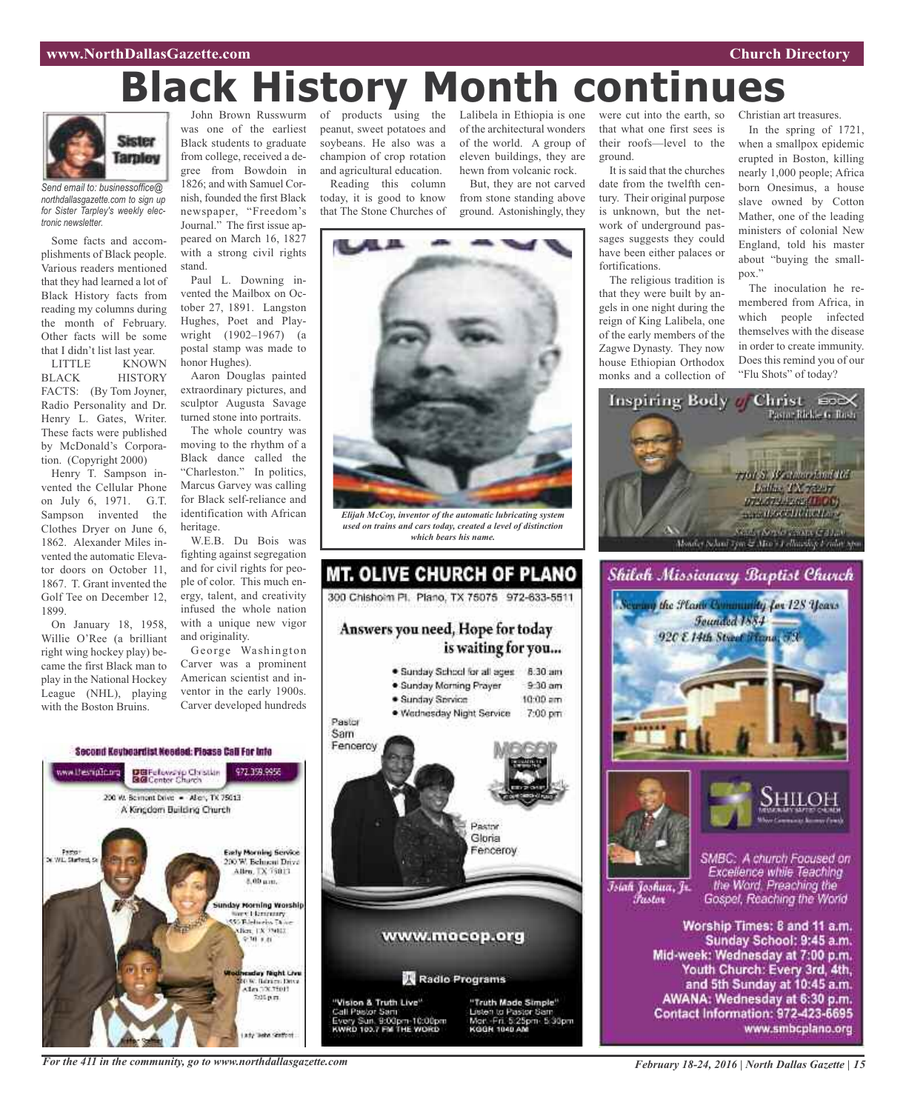#### **www.NorthDallasGazette.com Church Directory**

# **Black History Month continues**



*Send email to: businessoffice@ northdallasgazette.com to sign up for Sister Tarpley's weekly electronic newsletter.*

Some facts and accomplishments of Black people. Various readers mentioned that they had learned a lot of Black History facts from reading my columns during the month of February. Other facts will be some that I didn't list last year.<br>LITTLE KNOW

KNOWN BLACK HISTORY FACTS: (By Tom Joyner, Radio Personality and Dr. Henry L. Gates, Writer. These facts were published by McDonald's Corporation. (Copyright 2000)

Henry T. Sampson invented the Cellular Phone on July 6, 1971. G.T. Sampson invented the Clothes Dryer on June 6, 1862. Alexander Miles invented the automatic Elevator doors on October 11, 1867. T. Grant invented the Golf Tee on December 12, 1899.

On January 18, 1958, Willie O'Ree (a brilliant right wing hockey play) became the first Black man to play in the National Hockey League (NHL), playing with the Boston Bruins.

John Brown Russwurm was one of the earliest Black students to graduate from college, received a degree from Bowdoin in 1826; and with Samuel Cornish, founded the first Black newspaper, "Freedom's Journal." The first issue appeared on March 16, 1827 with a strong civil rights

stand. Paul L. Downing invented the Mailbox on October 27, 1891. Langston Hughes, Poet and Playwright (1902–1967) (a postal stamp was made to honor Hughes).

Aaron Douglas painted extraordinary pictures, and sculptor Augusta Savage turned stone into portraits.

The whole country was moving to the rhythm of a Black dance called the "Charleston." In politics, Marcus Garvey was calling for Black self-reliance and identification with African heritage.

W.E.B. Du Bois was fighting against segregation and for civil rights for people of color. This much energy, talent, and creativity infused the whole nation with a unique new vigor and originality.

George Washington Carver was a prominent American scientist and inventor in the early 1900s. Carver developed hundreds of products using the peanut, sweet potatoes and soybeans. He also was a champion of crop rotation and agricultural education.

Reading this column today, it is good to know that The Stone Churches of of the architectural wonders of the world. A group of eleven buildings, they are hewn from volcanic rock.

But, they are not carved from stone standing above ground. Astonishingly, they



*Elijah McCoy, inventor of the automatic lubricating system used on trains and cars today, created a level of distinction which bears his name.*



Lalibela in Ethiopia is one were cut into the earth, so that what one first sees is their roofs—level to the ground.

> It is said that the churches date from the twelfth century. Their original purpose is unknown, but the network of underground passages suggests they could have been either palaces or fortifications.

> The religious tradition is that they were built by angels in one night during the reign of King Lalibela, one of the early members of the Zagwe Dynasty. They now house Ethiopian Orthodox monks and a collection of

Christian art treasures.

In the spring of 1721, when a smallpox epidemic erupted in Boston, killing nearly 1,000 people; Africa born Onesimus, a house slave owned by Cotton Mather, one of the leading ministers of colonial New England, told his master about "buying the smallpox."

The inoculation he remembered from Africa, in which people infected themselves with the disease in order to create immunity. Does this remind you of our "Flu Shots" of today?







Īsiah Joshua, Jr. Fustor

SMBC: A church Focused on Excellence while Teaching the Word. Preaching the Gospel, Reaching the World

Worship Times: 8 and 11 a.m. Sunday School: 9:45 a.m. Mid-week: Wednesday at 7:00 p.m. Youth Church: Every 3rd, 4th, and 5th Sunday at 10:45 a.m. AWANA: Wednesday at 6:30 p.m. Contact Information: 972-423-6695 www.smbcplano.org

Second Keybeardist Needed: Please Call For Into



*For the 411 in the community, go to www.northdallasgazette.com*

*February 18-24, 2016 | North Dallas Gazette | 15*